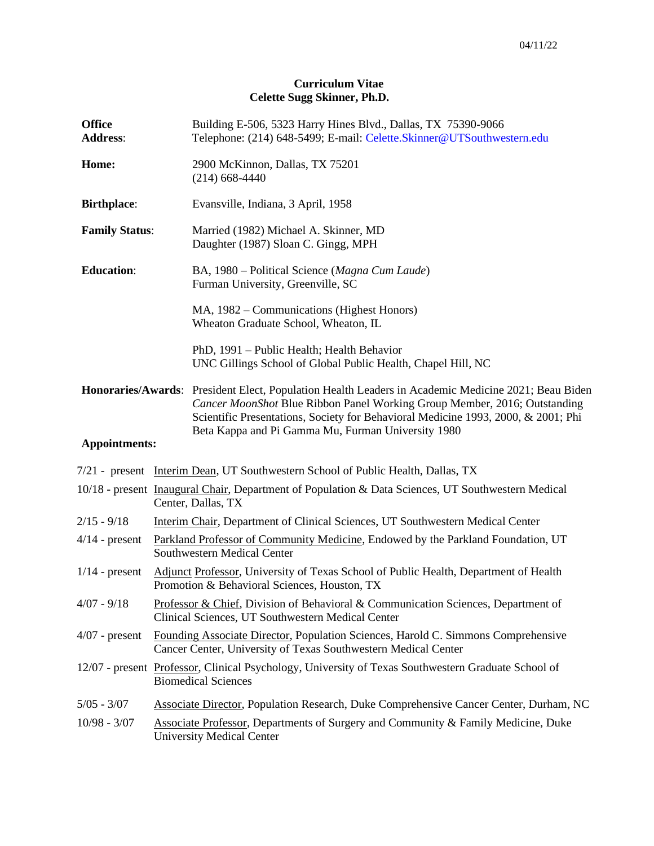# **Curriculum Vitae Celette Sugg Skinner, Ph.D.**

| <b>Office</b><br><b>Address:</b> |                                                                                                                                                     | Building E-506, 5323 Harry Hines Blvd., Dallas, TX 75390-9066<br>Telephone: (214) 648-5499; E-mail: Celette.Skinner@UTSouthwestern.edu                                                                                                                                                                                      |  |
|----------------------------------|-----------------------------------------------------------------------------------------------------------------------------------------------------|-----------------------------------------------------------------------------------------------------------------------------------------------------------------------------------------------------------------------------------------------------------------------------------------------------------------------------|--|
| Home:                            |                                                                                                                                                     | 2900 McKinnon, Dallas, TX 75201<br>$(214)$ 668-4440                                                                                                                                                                                                                                                                         |  |
| <b>Birthplace:</b>               |                                                                                                                                                     | Evansville, Indiana, 3 April, 1958                                                                                                                                                                                                                                                                                          |  |
| <b>Family Status:</b>            |                                                                                                                                                     | Married (1982) Michael A. Skinner, MD<br>Daughter (1987) Sloan C. Gingg, MPH                                                                                                                                                                                                                                                |  |
| <b>Education:</b>                |                                                                                                                                                     | BA, 1980 – Political Science (Magna Cum Laude)<br>Furman University, Greenville, SC                                                                                                                                                                                                                                         |  |
|                                  |                                                                                                                                                     | MA, 1982 – Communications (Highest Honors)<br>Wheaton Graduate School, Wheaton, IL                                                                                                                                                                                                                                          |  |
|                                  |                                                                                                                                                     | PhD, 1991 - Public Health; Health Behavior<br>UNC Gillings School of Global Public Health, Chapel Hill, NC                                                                                                                                                                                                                  |  |
|                                  |                                                                                                                                                     | Honoraries/Awards: President Elect, Population Health Leaders in Academic Medicine 2021; Beau Biden<br>Cancer MoonShot Blue Ribbon Panel Working Group Member, 2016; Outstanding<br>Scientific Presentations, Society for Behavioral Medicine 1993, 2000, & 2001; Phi<br>Beta Kappa and Pi Gamma Mu, Furman University 1980 |  |
| <b>Appointments:</b>             |                                                                                                                                                     |                                                                                                                                                                                                                                                                                                                             |  |
|                                  |                                                                                                                                                     | 7/21 - present Interim Dean, UT Southwestern School of Public Health, Dallas, TX                                                                                                                                                                                                                                            |  |
|                                  |                                                                                                                                                     | 10/18 - present Inaugural Chair, Department of Population & Data Sciences, UT Southwestern Medical<br>Center, Dallas, TX                                                                                                                                                                                                    |  |
| $2/15 - 9/18$                    |                                                                                                                                                     | Interim Chair, Department of Clinical Sciences, UT Southwestern Medical Center                                                                                                                                                                                                                                              |  |
| $4/14$ - present                 |                                                                                                                                                     | Parkland Professor of Community Medicine, Endowed by the Parkland Foundation, UT<br>Southwestern Medical Center                                                                                                                                                                                                             |  |
| $1/14$ - present                 | Adjunct Professor, University of Texas School of Public Health, Department of Health<br>Promotion & Behavioral Sciences, Houston, TX                |                                                                                                                                                                                                                                                                                                                             |  |
| $4/07 - 9/18$                    | Professor & Chief, Division of Behavioral & Communication Sciences, Department of<br>Clinical Sciences, UT Southwestern Medical Center              |                                                                                                                                                                                                                                                                                                                             |  |
| $4/07$ - present                 | Founding Associate Director, Population Sciences, Harold C. Simmons Comprehensive<br>Cancer Center, University of Texas Southwestern Medical Center |                                                                                                                                                                                                                                                                                                                             |  |
|                                  | 12/07 - present Professor, Clinical Psychology, University of Texas Southwestern Graduate School of<br><b>Biomedical Sciences</b>                   |                                                                                                                                                                                                                                                                                                                             |  |
| $5/05 - 3/07$                    | Associate Director, Population Research, Duke Comprehensive Cancer Center, Durham, NC                                                               |                                                                                                                                                                                                                                                                                                                             |  |
| $10/98 - 3/07$                   | Associate Professor, Departments of Surgery and Community & Family Medicine, Duke<br><b>University Medical Center</b>                               |                                                                                                                                                                                                                                                                                                                             |  |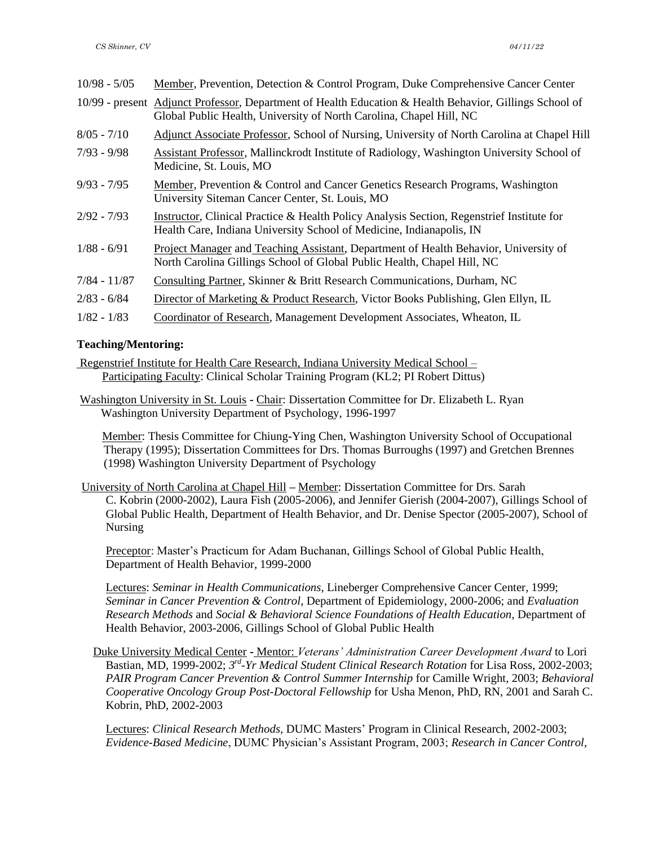| $10/98 - 5/05$ | Member, Prevention, Detection & Control Program, Duke Comprehensive Cancer Center                                                                                              |
|----------------|--------------------------------------------------------------------------------------------------------------------------------------------------------------------------------|
|                | 10/99 - present Adjunct Professor, Department of Health Education & Health Behavior, Gillings School of<br>Global Public Health, University of North Carolina, Chapel Hill, NC |
| $8/05 - 7/10$  | Adjunct Associate Professor, School of Nursing, University of North Carolina at Chapel Hill                                                                                    |
| $7/93 - 9/98$  | Assistant Professor, Mallinckrodt Institute of Radiology, Washington University School of<br>Medicine, St. Louis, MO                                                           |
| $9/93 - 7/95$  | Member, Prevention & Control and Cancer Genetics Research Programs, Washington<br>University Siteman Cancer Center, St. Louis, MO                                              |
| $2/92 - 7/93$  | Instructor, Clinical Practice & Health Policy Analysis Section, Regenstrief Institute for<br>Health Care, Indiana University School of Medicine, Indianapolis, IN              |
| $1/88 - 6/91$  | Project Manager and Teaching Assistant, Department of Health Behavior, University of<br>North Carolina Gillings School of Global Public Health, Chapel Hill, NC                |
| $7/84 - 11/87$ | Consulting Partner, Skinner & Britt Research Communications, Durham, NC                                                                                                        |
| $2/83 - 6/84$  | Director of Marketing & Product Research, Victor Books Publishing, Glen Ellyn, IL                                                                                              |
| $1/82 - 1/83$  | Coordinator of Research, Management Development Associates, Wheaton, IL                                                                                                        |

# **Teaching/Mentoring:**

Regenstrief Institute for Health Care Research, Indiana University Medical School – Participating Faculty: Clinical Scholar Training Program (KL2; PI Robert Dittus)

Washington University in St. Louis **-** Chair: Dissertation Committee for Dr. Elizabeth L. Ryan Washington University Department of Psychology, 1996-1997

 Member: Thesis Committee for Chiung-Ying Chen, Washington University School of Occupational Therapy (1995); Dissertation Committees for Drs. Thomas Burroughs (1997) and Gretchen Brennes (1998) Washington University Department of Psychology

University of North Carolina at Chapel Hill **–** Member: Dissertation Committee for Drs. Sarah C. Kobrin (2000-2002), Laura Fish (2005-2006), and Jennifer Gierish (2004-2007), Gillings School of Global Public Health, Department of Health Behavior, and Dr. Denise Spector (2005-2007), School of Nursing

Preceptor: Master's Practicum for Adam Buchanan, Gillings School of Global Public Health, Department of Health Behavior, 1999-2000

Lectures: *Seminar in Health Communications*, Lineberger Comprehensive Cancer Center, 1999; *Seminar in Cancer Prevention & Control*, Department of Epidemiology, 2000-2006; and *Evaluation Research Methods* and *Social & Behavioral Science Foundations of Health Education*, Department of Health Behavior, 2003-2006, Gillings School of Global Public Health

Duke University Medical Center **-** Mentor: *Veterans' Administration Career Development Award* to Lori Bastian, MD, 1999-2002; 3<sup>rd</sup>-Yr Medical Student Clinical Research Rotation for Lisa Ross, 2002-2003; *PAIR Program Cancer Prevention & Control Summer Internship* for Camille Wright, 2003; *Behavioral Cooperative Oncology Group Post-Doctoral Fellowship* for Usha Menon, PhD, RN, 2001 and Sarah C. Kobrin, PhD, 2002-2003

Lectures: *Clinical Research Methods,* DUMC Masters' Program in Clinical Research, 2002-2003; *Evidence-Based Medicine*, DUMC Physician's Assistant Program, 2003; *Research in Cancer Control*,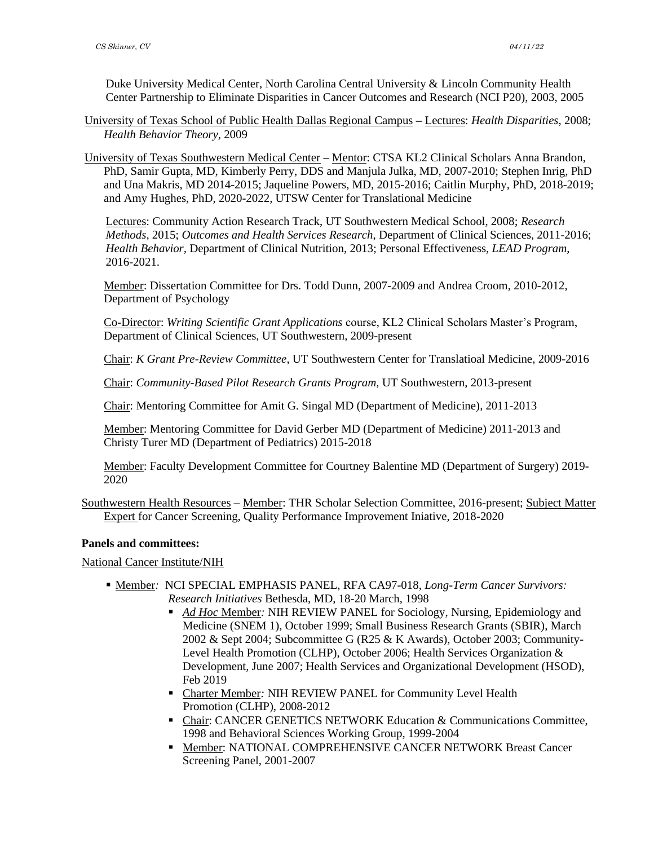Duke University Medical Center, North Carolina Central University & Lincoln Community Health Center Partnership to Eliminate Disparities in Cancer Outcomes and Research (NCI P20), 2003, 2005

- University of Texas School of Public Health Dallas Regional Campus **–** Lectures: *Health Disparities*, 2008; *Health Behavior Theory*, 2009
- University of Texas Southwestern Medical Center **–** Mentor: CTSA KL2 Clinical Scholars Anna Brandon, PhD, Samir Gupta, MD, Kimberly Perry, DDS and Manjula Julka, MD, 2007-2010; Stephen Inrig, PhD and Una Makris, MD 2014-2015; Jaqueline Powers, MD, 2015-2016; Caitlin Murphy, PhD, 2018-2019; and Amy Hughes, PhD, 2020-2022, UTSW Center for Translational Medicine

Lectures: Community Action Research Track, UT Southwestern Medical School, 2008; *Research Methods*, 2015; *Outcomes and Health Services Research*, Department of Clinical Sciences, 2011-2016; *Health Behavior,* Department of Clinical Nutrition, 2013; Personal Effectiveness, *LEAD Program*, 2016-2021.

Member: Dissertation Committee for Drs. Todd Dunn, 2007-2009 and Andrea Croom, 2010-2012, Department of Psychology

Co-Director: *Writing Scientific Grant Applications* course, KL2 Clinical Scholars Master's Program, Department of Clinical Sciences, UT Southwestern, 2009-present

Chair: *K Grant Pre-Review Committee*, UT Southwestern Center for Translatioal Medicine, 2009-2016

Chair: *Community-Based Pilot Research Grants Program*, UT Southwestern, 2013-present

Chair: Mentoring Committee for Amit G. Singal MD (Department of Medicine), 2011-2013

Member: Mentoring Committee for David Gerber MD (Department of Medicine) 2011-2013 and Christy Turer MD (Department of Pediatrics) 2015-2018

Member: Faculty Development Committee for Courtney Balentine MD (Department of Surgery) 2019- 2020

Southwestern Health Resources **–** Member: THR Scholar Selection Committee, 2016-present; Subject Matter Expert for Cancer Screening, Quality Performance Improvement Iniative, 2018-2020

#### **Panels and committees:**

National Cancer Institute/NIH

- Member*:* NCI SPECIAL EMPHASIS PANEL, RFA CA97-018, *Long-Term Cancer Survivors: Research Initiatives* Bethesda, MD, 18-20 March, 1998
	- *Ad Hoc* Member*:* NIH REVIEW PANEL for Sociology, Nursing, Epidemiology and Medicine (SNEM 1), October 1999; Small Business Research Grants (SBIR), March 2002 & Sept 2004; Subcommittee G (R25 & K Awards), October 2003; Community-Level Health Promotion (CLHP), October 2006; Health Services Organization & Development, June 2007; Health Services and Organizational Development (HSOD), Feb 2019
	- Charter Member*:* NIH REVIEW PANEL for Community Level Health Promotion (CLHP), 2008-2012
	- **Chair: CANCER GENETICS NETWORK Education & Communications Committee,** 1998 and Behavioral Sciences Working Group, 1999-2004
	- **. Member: NATIONAL COMPREHENSIVE CANCER NETWORK Breast Cancer** Screening Panel, 2001-2007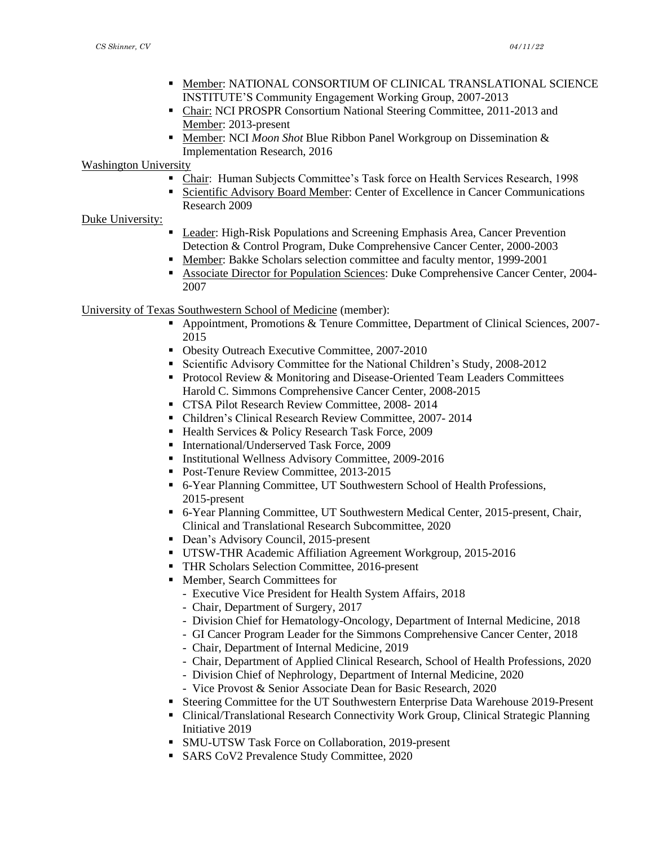- **.** Member: NATIONAL CONSORTIUM OF CLINICAL TRANSLATIONAL SCIENCE INSTITUTE'S Community Engagement Working Group, 2007-2013
- Chair: NCI PROSPR Consortium National Steering Committee, 2011-2013 and Member: 2013-present
- Member: NCI *Moon Shot* Blue Ribbon Panel Workgroup on Dissemination & Implementation Research, 2016

Washington University

- Chair: Human Subjects Committee's Task force on Health Services Research, 1998
- **Exercise 1** Scientific Advisory Board Member: Center of Excellence in Cancer Communications Research 2009

#### Duke University:

- **Leader: High-Risk Populations and Screening Emphasis Area, Cancer Prevention** Detection & Control Program, Duke Comprehensive Cancer Center, 2000-2003
- Member: Bakke Scholars selection committee and faculty mentor, 1999-2001
- Associate Director for Population Sciences: Duke Comprehensive Cancer Center, 2004- 2007

University of Texas Southwestern School of Medicine (member):

- Appointment, Promotions & Tenure Committee, Department of Clinical Sciences, 2007-2015
- Obesity Outreach Executive Committee, 2007-2010
- Scientific Advisory Committee for the National Children's Study, 2008-2012
- Protocol Review & Monitoring and Disease-Oriented Team Leaders Committees Harold C. Simmons Comprehensive Cancer Center, 2008-2015
- CTSA Pilot Research Review Committee, 2008- 2014
- Children's Clinical Research Review Committee, 2007- 2014
- Health Services & Policy Research Task Force, 2009
- International/Underserved Task Force, 2009
- **EXECUTE:** Institutional Wellness Advisory Committee, 2009-2016
- Post-Tenure Review Committee, 2013-2015
- 6-Year Planning Committee, UT Southwestern School of Health Professions, 2015-present
- 6-Year Planning Committee, UT Southwestern Medical Center, 2015-present, Chair, Clinical and Translational Research Subcommittee, 2020
- **•** Dean's Advisory Council, 2015-present
- UTSW-THR Academic Affiliation Agreement Workgroup, 2015-2016
- THR Scholars Selection Committee, 2016-present
- Member, Search Committees for
	- Executive Vice President for Health System Affairs, 2018
	- Chair, Department of Surgery, 2017
	- Division Chief for Hematology-Oncology, Department of Internal Medicine, 2018
	- GI Cancer Program Leader for the Simmons Comprehensive Cancer Center, 2018
	- Chair, Department of Internal Medicine, 2019
	- Chair, Department of Applied Clinical Research, School of Health Professions, 2020
	- Division Chief of Nephrology, Department of Internal Medicine, 2020
	- Vice Provost & Senior Associate Dean for Basic Research, 2020
- Steering Committee for the UT Southwestern Enterprise Data Warehouse 2019-Present
- Clinical/Translational Research Connectivity Work Group, Clinical Strategic Planning Initiative 2019
- SMU-UTSW Task Force on Collaboration, 2019-present
- SARS CoV2 Prevalence Study Committee, 2020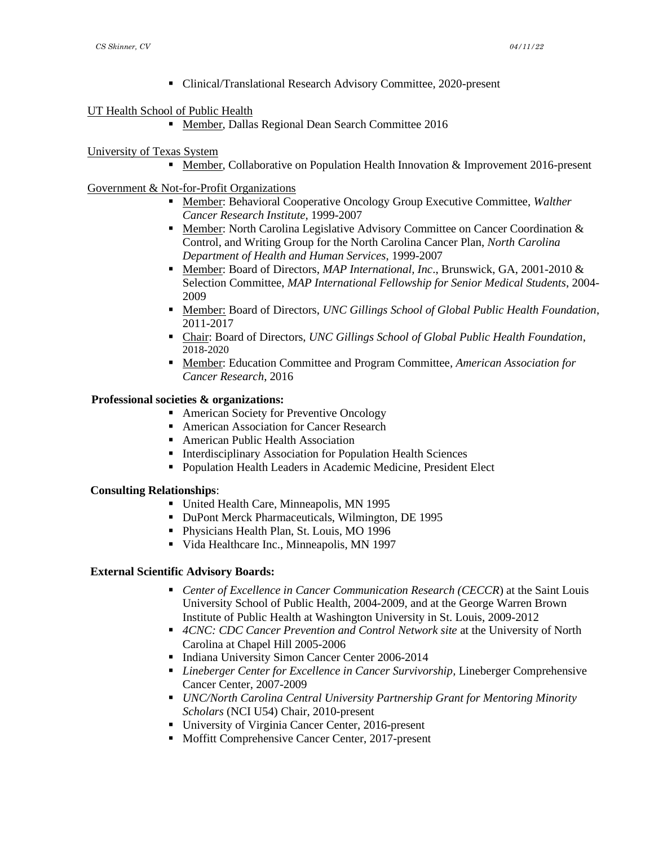■ Clinical/Translational Research Advisory Committee, 2020-present

# UT Health School of Public Health

■ Member, Dallas Regional Dean Search Committee 2016

# University of Texas System

■ Member, Collaborative on Population Health Innovation & Improvement 2016-present

# Government & Not-for-Profit Organizations

- Member: Behavioral Cooperative Oncology Group Executive Committee, *Walther Cancer Research Institute*, 1999-2007
- **Example: North Carolina Legislative Advisory Committee on Cancer Coordination &** Control, and Writing Group for the North Carolina Cancer Plan, *North Carolina Department of Health and Human Services*, 1999-2007
- Member: Board of Directors, *MAP International, Inc.*, Brunswick, GA, 2001-2010 & Selection Committee, *MAP International Fellowship for Senior Medical Students*, 2004- 2009
- Member: Board of Directors, *UNC Gillings School of Global Public Health Foundation*, 2011-2017
- Chair: Board of Directors, *UNC Gillings School of Global Public Health Foundation*, 2018-2020
- Member: Education Committee and Program Committee, *American Association for Cancer Research*, 2016

# **Professional societies & organizations:**

- American Society for Preventive Oncology
- American Association for Cancer Research
- American Public Health Association
- Interdisciplinary Association for Population Health Sciences
- Population Health Leaders in Academic Medicine, President Elect

#### **Consulting Relationships**:

- United Health Care, Minneapolis, MN 1995
- DuPont Merck Pharmaceuticals, Wilmington, DE 1995
- Physicians Health Plan, St. Louis, MO 1996
- Vida Healthcare Inc., Minneapolis, MN 1997

#### **External Scientific Advisory Boards:**

- *Center of Excellence in Cancer Communication Research (CECCR)* at the Saint Louis University School of Public Health, 2004-2009, and at the George Warren Brown Institute of Public Health at Washington University in St. Louis, 2009-2012
- 4CNC: CDC Cancer Prevention and Control Network site at the University of North Carolina at Chapel Hill 2005-2006
- **Indiana University Simon Cancer Center 2006-2014**
- *Lineberger Center for Excellence in Cancer Survivorship*, Lineberger Comprehensive Cancer Center, 2007-2009
- *UNC/North Carolina Central University Partnership Grant for Mentoring Minority Scholars* (NCI U54) Chair, 2010-present
- University of Virginia Cancer Center, 2016-present
- Moffitt Comprehensive Cancer Center, 2017-present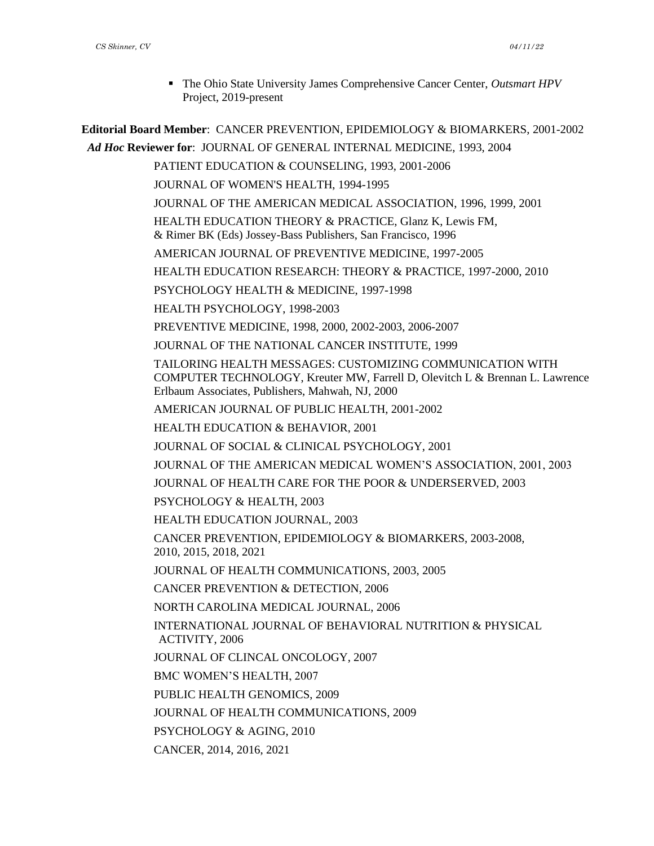▪ The Ohio State University James Comprehensive Cancer Center, *Outsmart HPV* Project, 2019-present

**Editorial Board Member**: CANCER PREVENTION, EPIDEMIOLOGY & BIOMARKERS, 2001-2002 *Ad Hoc* **Reviewer for**: JOURNAL OF GENERAL INTERNAL MEDICINE, 1993, 2004 PATIENT EDUCATION & COUNSELING, 1993, 2001-2006 JOURNAL OF WOMEN'S HEALTH, 1994-1995 JOURNAL OF THE AMERICAN MEDICAL ASSOCIATION, 1996, 1999, 2001 HEALTH EDUCATION THEORY & PRACTICE, Glanz K, Lewis FM, & Rimer BK (Eds) Jossey-Bass Publishers, San Francisco, 1996 AMERICAN JOURNAL OF PREVENTIVE MEDICINE, 1997-2005 HEALTH EDUCATION RESEARCH: THEORY & PRACTICE, 1997-2000, 2010 PSYCHOLOGY HEALTH & MEDICINE, 1997-1998 HEALTH PSYCHOLOGY, 1998-2003 PREVENTIVE MEDICINE, 1998, 2000, 2002-2003, 2006-2007 JOURNAL OF THE NATIONAL CANCER INSTITUTE, 1999 TAILORING HEALTH MESSAGES: CUSTOMIZING COMMUNICATION WITH COMPUTER TECHNOLOGY, Kreuter MW, Farrell D, Olevitch L & Brennan L. Lawrence Erlbaum Associates, Publishers, Mahwah, NJ, 2000 AMERICAN JOURNAL OF PUBLIC HEALTH, 2001-2002 HEALTH EDUCATION & BEHAVIOR, 2001 JOURNAL OF SOCIAL & CLINICAL PSYCHOLOGY, 2001 JOURNAL OF THE AMERICAN MEDICAL WOMEN'S ASSOCIATION, 2001, 2003 JOURNAL OF HEALTH CARE FOR THE POOR & UNDERSERVED, 2003 PSYCHOLOGY & HEALTH, 2003 HEALTH EDUCATION JOURNAL, 2003 CANCER PREVENTION, EPIDEMIOLOGY & BIOMARKERS, 2003-2008, 2010, 2015, 2018, 2021 JOURNAL OF HEALTH COMMUNICATIONS, 2003, 2005 CANCER PREVENTION & DETECTION, 2006 NORTH CAROLINA MEDICAL JOURNAL, 2006 INTERNATIONAL JOURNAL OF BEHAVIORAL NUTRITION & PHYSICAL ACTIVITY, 2006 JOURNAL OF CLINCAL ONCOLOGY, 2007 BMC WOMEN'S HEALTH, 2007 PUBLIC HEALTH GENOMICS, 2009 JOURNAL OF HEALTH COMMUNICATIONS, 2009 PSYCHOLOGY & AGING, 2010 CANCER, 2014, 2016, 2021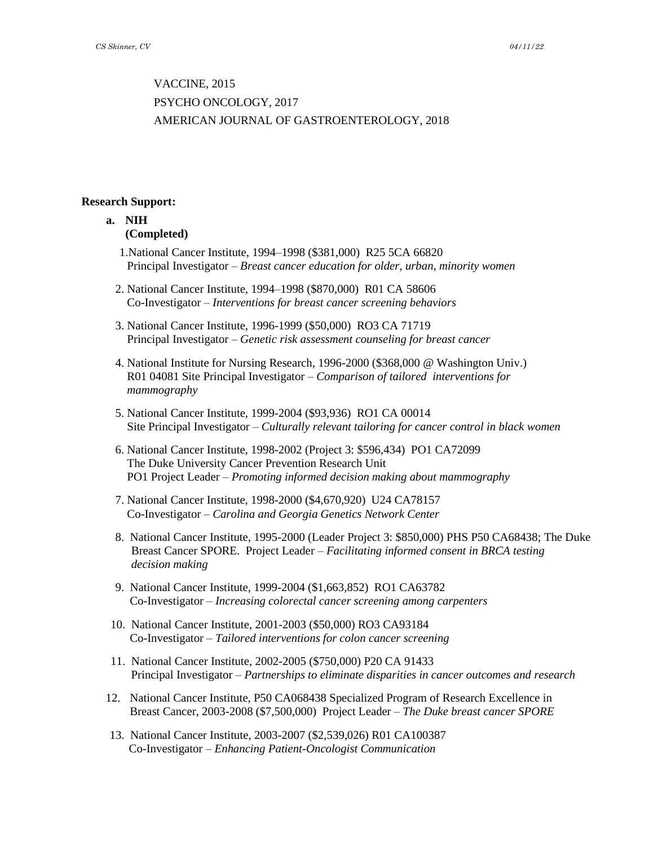# VACCINE, 2015 PSYCHO ONCOLOGY, 2017 AMERICAN JOURNAL OF GASTROENTEROLOGY, 2018

#### **Research Support:**

# **a. NIH (Completed)**

- 1.National Cancer Institute, 1994–1998 (\$381,000) R25 5CA 66820 Principal Investigator – *Breast cancer education for older, urban, minority women*
- 2. National Cancer Institute, 1994–1998 (\$870,000) R01 CA 58606 Co-Investigator – *Interventions for breast cancer screening behaviors*
- 3. National Cancer Institute, 1996-1999 (\$50,000) RO3 CA 71719 Principal Investigator – *Genetic risk assessment counseling for breast cancer*
- 4. National Institute for Nursing Research, 1996-2000 (\$368,000 @ Washington Univ.) R01 04081 Site Principal Investigator – *Comparison of tailored interventions for mammography*
- 5. National Cancer Institute, 1999-2004 (\$93,936) RO1 CA 00014 Site Principal Investigator – *Culturally relevant tailoring for cancer control in black women*
- 6. National Cancer Institute, 1998-2002 (Project 3: \$596,434) PO1 CA72099 The Duke University Cancer Prevention Research Unit PO1 Project Leader – *Promoting informed decision making about mammography*
- 7. National Cancer Institute, 1998-2000 (\$4,670,920) U24 CA78157 Co-Investigator – *Carolina and Georgia Genetics Network Center*
- 8. National Cancer Institute, 1995-2000 (Leader Project 3: \$850,000) PHS P50 CA68438; The Duke Breast Cancer SPORE. Project Leader – *Facilitating informed consent in BRCA testing decision making*
- 9. National Cancer Institute, 1999-2004 (\$1,663,852) RO1 CA63782 Co-Investigator – *Increasing colorectal cancer screening among carpenters*
- 10. National Cancer Institute, 2001-2003 (\$50,000) RO3 CA93184 Co-Investigator – *Tailored interventions for colon cancer screening*
- 11. National Cancer Institute, 2002-2005 (\$750,000) P20 CA 91433 Principal Investigator – *Partnerships to eliminate disparities in cancer outcomes and research*
- 12. National Cancer Institute, P50 CA068438 Specialized Program of Research Excellence in Breast Cancer, 2003-2008 (\$7,500,000) Project Leader – *The Duke breast cancer SPORE*
- 13. National Cancer Institute, 2003-2007 (\$2,539,026) R01 CA100387 Co-Investigator – *Enhancing Patient-Oncologist Communication*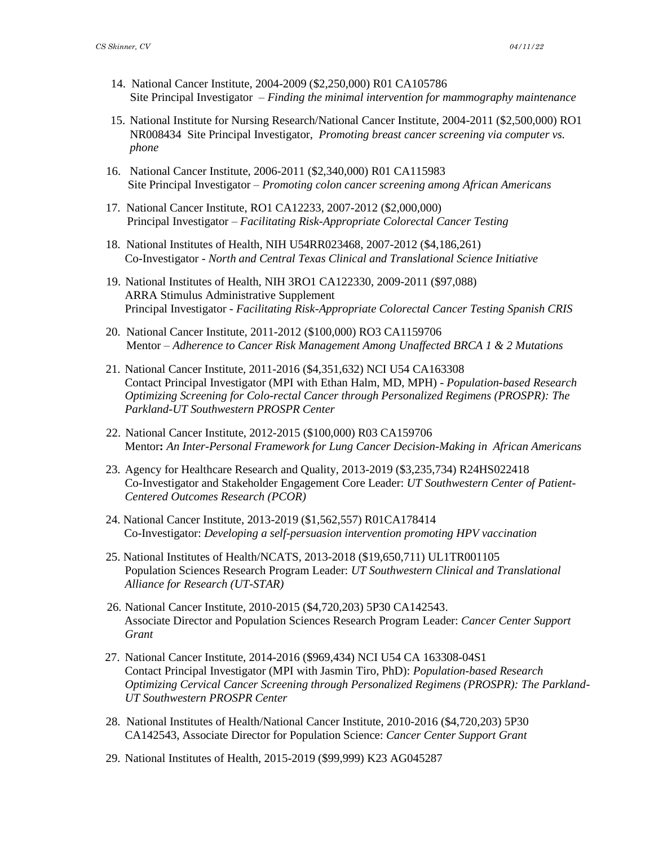- 14. National Cancer Institute, 2004-2009 (\$2,250,000) R01 CA105786 Site Principal Investigator – *Finding the minimal intervention for mammography maintenance*
- 15. National Institute for Nursing Research/National Cancer Institute, 2004-2011 (\$2,500,000) RO1 NR008434 Site Principal Investigator, *Promoting breast cancer screening via computer vs. phone*
- 16. National Cancer Institute, 2006-2011 (\$2,340,000) R01 CA115983 Site Principal Investigator – *Promoting colon cancer screening among African Americans*
- 17. National Cancer Institute, RO1 CA12233, 2007-2012 (\$2,000,000) Principal Investigator – *Facilitating Risk-Appropriate Colorectal Cancer Testing*
- 18. National Institutes of Health, NIH U54RR023468, 2007-2012 (\$4,186,261) Co-Investigator - *North and Central Texas Clinical and Translational Science Initiative*
- 19. National Institutes of Health, NIH 3RO1 CA122330, 2009-2011 (\$97,088) ARRA Stimulus Administrative Supplement Principal Investigator *- Facilitating Risk-Appropriate Colorectal Cancer Testing Spanish CRIS*
- 20. National Cancer Institute, 2011-2012 (\$100,000) RO3 CA1159706 Mentor – *Adherence to Cancer Risk Management Among Unaffected BRCA 1 & 2 Mutations*
- 21. National Cancer Institute, 2011-2016 (\$4,351,632) NCI U54 CA163308 Contact Principal Investigator (MPI with Ethan Halm, MD, MPH) - *Population-based Research Optimizing Screening for Colo-rectal Cancer through Personalized Regimens (PROSPR): The Parkland-UT Southwestern PROSPR Center*
- 22. National Cancer Institute, 2012-2015 (\$100,000) R03 CA159706 Mentor**:** *An Inter-Personal Framework for Lung Cancer Decision-Making in African Americans*
- 23. Agency for Healthcare Research and Quality, 2013-2019 (\$3,235,734) R24HS022418 Co-Investigator and Stakeholder Engagement Core Leader: *UT Southwestern Center of Patient- Centered Outcomes Research (PCOR)*
- 24. National Cancer Institute, 2013-2019 (\$1,562,557) R01CA178414 Co-Investigator: *Developing a self-persuasion intervention promoting HPV vaccination*
- 25. National Institutes of Health/NCATS, 2013-2018 (\$19,650,711) UL1TR001105 Population Sciences Research Program Leader: *UT Southwestern Clinical and Translational Alliance for Research (UT-STAR)*
- 26. National Cancer Institute, 2010-2015 (\$4,720,203) 5P30 CA142543. Associate Director and Population Sciences Research Program Leader: *Cancer Center Support Grant*
- 27. National Cancer Institute, 2014-2016 (\$969,434) NCI U54 CA 163308-04S1 Contact Principal Investigator (MPI with Jasmin Tiro, PhD): *Population-based Research Optimizing Cervical Cancer Screening through Personalized Regimens (PROSPR): The Parkland-UT Southwestern PROSPR Center*
- 28. National Institutes of Health/National Cancer Institute, 2010-2016 (\$4,720,203) 5P30 CA142543, Associate Director for Population Science: *Cancer Center Support Grant*
- 29. National Institutes of Health, 2015-2019 (\$99,999) K23 AG045287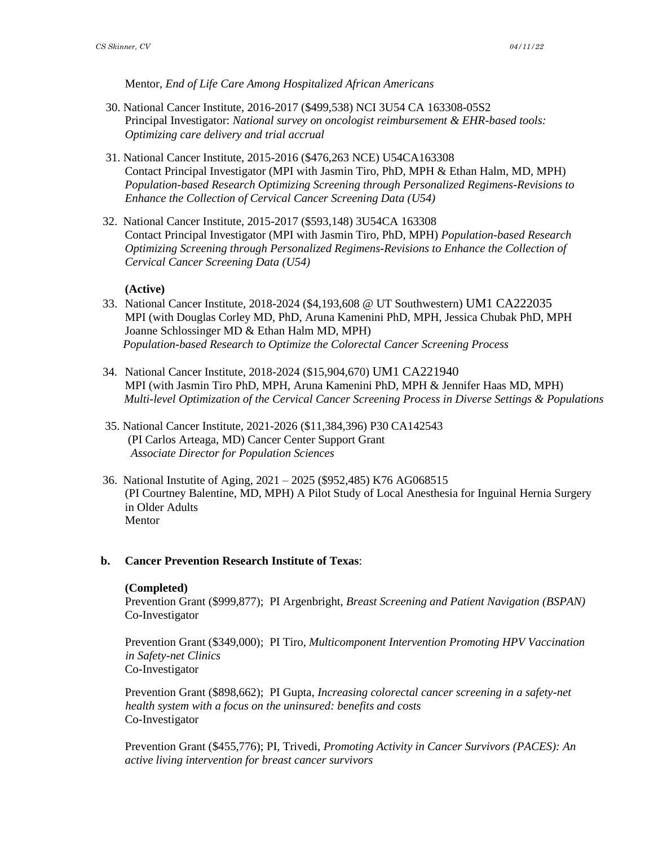Mentor, *End of Life Care Among Hospitalized African Americans*

- 30. National Cancer Institute, 2016-2017 (\$499,538) NCI 3U54 CA 163308-05S2 Principal Investigator: *National survey on oncologist reimbursement & EHR-based tools: Optimizing care delivery and trial accrual*
- 31. National Cancer Institute, 2015-2016 (\$476,263 NCE) U54CA163308 Contact Principal Investigator (MPI with Jasmin Tiro, PhD, MPH & Ethan Halm, MD, MPH) *Population-based Research Optimizing Screening through Personalized Regimens-Revisions to Enhance the Collection of Cervical Cancer Screening Data (U54)*
- 32. National Cancer Institute, 2015-2017 (\$593,148) 3U54CA 163308 Contact Principal Investigator (MPI with Jasmin Tiro, PhD, MPH) *Population-based Research Optimizing Screening through Personalized Regimens-Revisions to Enhance the Collection of Cervical Cancer Screening Data (U54)*

## **(Active)**

- 33. National Cancer Institute, 2018-2024 (\$4,193,608 @ UT Southwestern) UM1 CA222035 MPI (with Douglas Corley MD, PhD, Aruna Kamenini PhD, MPH, Jessica Chubak PhD, MPH Joanne Schlossinger MD & Ethan Halm MD, MPH) *Population-based Research to Optimize the Colorectal Cancer Screening Process*
- 34. National Cancer Institute, 2018-2024 (\$15,904,670) UM1 CA221940 MPI (with Jasmin Tiro PhD, MPH, Aruna Kamenini PhD, MPH & Jennifer Haas MD, MPH)  *Multi-level Optimization of the Cervical Cancer Screening Process in Diverse Settings & Populations*
- 35. National Cancer Institute, 2021-2026 (\$11,384,396) P30 CA142543 (PI Carlos Arteaga, MD) Cancer Center Support Grant  *Associate Director for Population Sciences*
- 36. National Instutite of Aging, 2021 2025 (\$952,485) K76 AG068515 (PI Courtney Balentine, MD, MPH) A Pilot Study of Local Anesthesia for Inguinal Hernia Surgery in Older Adults Mentor

#### **b. Cancer Prevention Research Institute of Texas**:

#### **(Completed)**

Prevention Grant (\$999,877); PI Argenbright, *Breast Screening and Patient Navigation (BSPAN)* Co-Investigator

Prevention Grant (\$349,000); PI Tiro, *Multicomponent Intervention Promoting HPV Vaccination in Safety-net Clinics* Co-Investigator

Prevention Grant (\$898,662); PI Gupta, *Increasing colorectal cancer screening in a safety-net health system with a focus on the uninsured: benefits and costs* Co-Investigator

Prevention Grant (\$455,776); PI, Trivedi, *Promoting Activity in Cancer Survivors (PACES): An active living intervention for breast cancer survivors*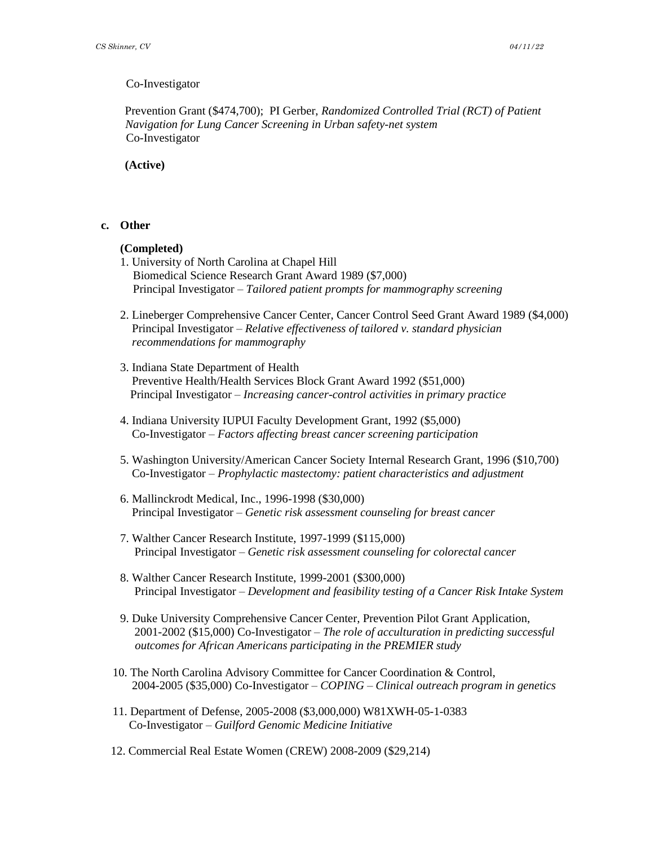#### Co-Investigator

Prevention Grant (\$474,700); PI Gerber, *Randomized Controlled Trial (RCT) of Patient Navigation for Lung Cancer Screening in Urban safety-net system* Co-Investigator

**(Active)**

#### **c. Other**

#### **(Completed)**

- 1. University of North Carolina at Chapel Hill Biomedical Science Research Grant Award 1989 (\$7,000) Principal Investigator – *Tailored patient prompts for mammography screening*
- 2. Lineberger Comprehensive Cancer Center, Cancer Control Seed Grant Award 1989 (\$4,000) Principal Investigator – *Relative effectiveness of tailored v. standard physician recommendations for mammography*
- 3. Indiana State Department of Health Preventive Health/Health Services Block Grant Award 1992 (\$51,000) Principal Investigator – *Increasing cancer-control activities in primary practice*
- 4. Indiana University IUPUI Faculty Development Grant, 1992 (\$5,000) Co-Investigator – *Factors affecting breast cancer screening participation*
- 5. Washington University/American Cancer Society Internal Research Grant, 1996 (\$10,700) Co-Investigator – *Prophylactic mastectomy: patient characteristics and adjustment*
- 6. Mallinckrodt Medical, Inc., 1996-1998 (\$30,000) Principal Investigator – *Genetic risk assessment counseling for breast cancer*
- 7. Walther Cancer Research Institute, 1997-1999 (\$115,000) Principal Investigator – *Genetic risk assessment counseling for colorectal cancer*
- 8. Walther Cancer Research Institute, 1999-2001 (\$300,000) Principal Investigator – *Development and feasibility testing of a Cancer Risk Intake System*
- 9. Duke University Comprehensive Cancer Center, Prevention Pilot Grant Application, 2001-2002 (\$15,000) Co-Investigator – *The role of acculturation in predicting successful outcomes for African Americans participating in the PREMIER study*
- 10. The North Carolina Advisory Committee for Cancer Coordination & Control, 2004-2005 (\$35,000) Co-Investigator – *COPING* – *Clinical outreach program in genetics*
- 11. Department of Defense, 2005-2008 (\$3,000,000) W81XWH-05-1-0383 Co-Investigator – *Guilford Genomic Medicine Initiative*
- 12. Commercial Real Estate Women (CREW) 2008-2009 (\$29,214)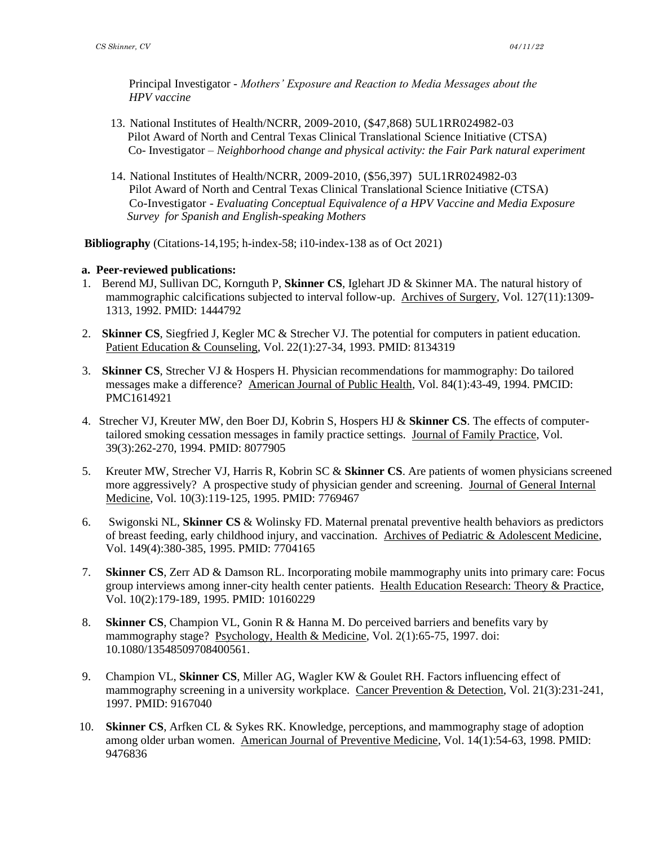Principal Investigator - *Mothers' Exposure and Reaction to Media Messages about the HPV vaccine* 

- 13. National Institutes of Health/NCRR, 2009-2010, (\$47,868) 5UL1RR024982-03 Pilot Award of North and Central Texas Clinical Translational Science Initiative (CTSA) Co- Investigator – *Neighborhood change and physical activity: the Fair Park natural experiment*
- 14. National Institutes of Health/NCRR, 2009-2010, (\$56,397) 5UL1RR024982-03 Pilot Award of North and Central Texas Clinical Translational Science Initiative (CTSA) Co-Investigator - *Evaluating Conceptual Equivalence of a HPV Vaccine and Media Exposure Survey for Spanish and English-speaking Mothers*

**Bibliography** (Citations-14,195; h-index-58; i10-index-138 as of Oct 2021)

#### **a. Peer-reviewed publications:**

- 1. Berend MJ, Sullivan DC, Kornguth P, **Skinner CS**, Iglehart JD & Skinner MA. The natural history of mammographic calcifications subjected to interval follow-up. Archives of Surgery, Vol. 127(11):1309- 1313, 1992. PMID: 1444792
- 2. **Skinner CS**, Siegfried J, Kegler MC & Strecher VJ. The potential for computers in patient education. Patient Education & Counseling, Vol. 22(1):27-34, 1993. PMID: 8134319
- 3. **Skinner CS**, Strecher VJ & Hospers H. Physician recommendations for mammography: Do tailored messages make a difference? American Journal of Public Health, Vol. 84(1):43-49, 1994. PMCID: PMC1614921
- 4. Strecher VJ, Kreuter MW, den Boer DJ, Kobrin S, Hospers HJ & **Skinner CS**. The effects of computertailored smoking cessation messages in family practice settings. Journal of Family Practice, Vol. 39(3):262-270, 1994. PMID: 8077905
- 5. Kreuter MW, Strecher VJ, Harris R, Kobrin SC & **Skinner CS**. Are patients of women physicians screened more aggressively? A prospective study of physician gender and screening. Journal of General Internal Medicine, Vol. 10(3):119-125, 1995. PMID: 7769467
- 6. Swigonski NL, **Skinner CS** & Wolinsky FD. Maternal prenatal preventive health behaviors as predictors of breast feeding, early childhood injury, and vaccination. Archives of Pediatric & Adolescent Medicine, Vol. 149(4):380-385, 1995. PMID: 7704165
- 7. **Skinner CS**, Zerr AD & Damson RL. Incorporating mobile mammography units into primary care: Focus group interviews among inner-city health center patients. Health Education Research: Theory & Practice, Vol. 10(2):179-189, 1995. PMID: 10160229
- 8. **Skinner CS**, Champion VL, Gonin R & Hanna M. Do perceived barriers and benefits vary by mammography stage? Psychology, Health & Medicine, Vol. 2(1):65-75, 1997. doi: 10.1080/13548509708400561.
- 9. Champion VL, **Skinner CS**, Miller AG, Wagler KW & Goulet RH. Factors influencing effect of mammography screening in a university workplace. Cancer Prevention & Detection, Vol. 21(3):231-241, 1997. PMID: 9167040
- 10. **Skinner CS**, Arfken CL & Sykes RK. Knowledge, perceptions, and mammography stage of adoption among older urban women. American Journal of Preventive Medicine, Vol. 14(1):54-63, 1998. PMID: 9476836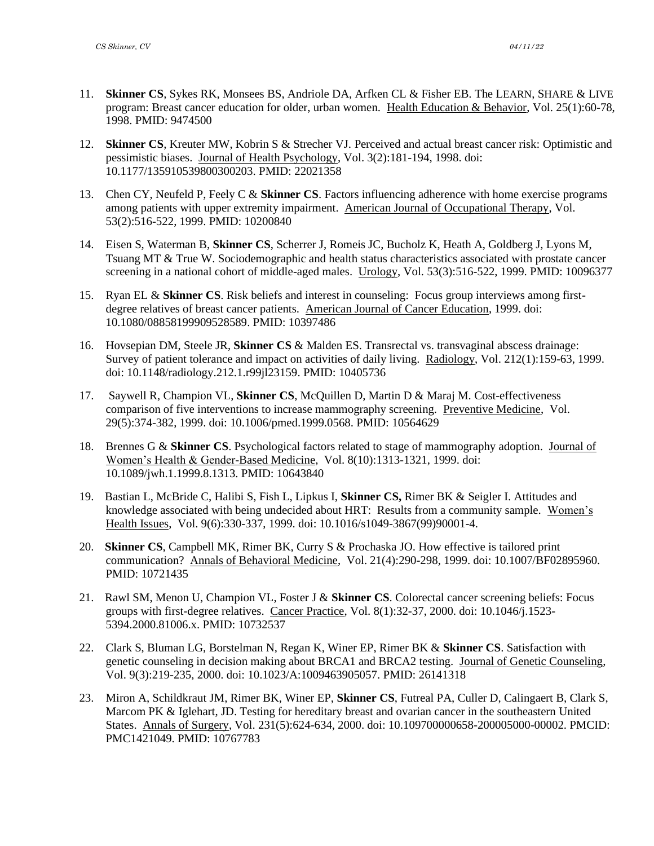- 11. **Skinner CS**, Sykes RK, Monsees BS, Andriole DA, Arfken CL & Fisher EB. The LEARN, SHARE & LIVE program: Breast cancer education for older, urban women. Health Education & Behavior, Vol. 25(1):60-78, 1998. PMID: 9474500
- 12. **Skinner CS**, Kreuter MW, Kobrin S & Strecher VJ. Perceived and actual breast cancer risk: Optimistic and pessimistic biases. Journal of Health Psychology, Vol. 3(2):181-194, 1998. doi: 10.1177/135910539800300203. PMID: 22021358
- 13. Chen CY, Neufeld P, Feely C & **Skinner CS**. Factors influencing adherence with home exercise programs among patients with upper extremity impairment. American Journal of Occupational Therapy, Vol. 53(2):516-522, 1999. PMID: 10200840
- 14. Eisen S, Waterman B, **Skinner CS**, Scherrer J, Romeis JC, Bucholz K, Heath A, Goldberg J, Lyons M, Tsuang MT & True W. Sociodemographic and health status characteristics associated with prostate cancer screening in a national cohort of middle-aged males. Urology, Vol. 53(3):516-522, 1999. PMID: 10096377
- 15. Ryan EL & **Skinner CS**. Risk beliefs and interest in counseling: Focus group interviews among firstdegree relatives of breast cancer patients. American Journal of Cancer Education, 1999. doi: 10.1080/08858199909528589. PMID: 10397486
- 16. Hovsepian DM, Steele JR, **Skinner CS** & Malden ES. Transrectal vs. transvaginal abscess drainage: Survey of patient tolerance and impact on activities of daily living. Radiology, Vol. 212(1):159-63, 1999. doi: 10.1148/radiology.212.1.r99jl23159. PMID: 10405736
- 17. Saywell R, Champion VL, **Skinner CS**, McQuillen D, Martin D & Maraj M. Cost-effectiveness comparison of five interventions to increase mammography screening. Preventive Medicine, Vol. 29(5):374-382, 1999. doi: 10.1006/pmed.1999.0568. PMID: 10564629
- 18. Brennes G & **Skinner CS**. Psychological factors related to stage of mammography adoption. Journal of Women's Health & Gender-Based Medicine, Vol. 8(10):1313-1321, 1999. doi: 10.1089/jwh.1.1999.8.1313. PMID: 10643840
- 19. Bastian L, McBride C, Halibi S, Fish L, Lipkus I, **Skinner CS,** Rimer BK & Seigler I. Attitudes and knowledge associated with being undecided about HRT: Results from a community sample. Women's Health Issues, Vol. 9(6):330-337, 1999. doi: 10.1016/s1049-3867(99)90001-4.
- 20. **Skinner CS**, Campbell MK, Rimer BK, Curry S & Prochaska JO. How effective is tailored print communication? Annals of Behavioral Medicine, Vol. 21(4):290-298, 1999. doi: 10.1007/BF02895960. PMID: 10721435
- 21. Rawl SM, Menon U, Champion VL, Foster J & **Skinner CS**. Colorectal cancer screening beliefs: Focus groups with first-degree relatives. Cancer Practice, Vol. 8(1):32-37, 2000. doi: 10.1046/j.1523- 5394.2000.81006.x. PMID: 10732537
- 22. Clark S, Bluman LG, Borstelman N, Regan K, Winer EP, Rimer BK & **Skinner CS**. Satisfaction with genetic counseling in decision making about BRCA1 and BRCA2 testing. Journal of Genetic Counseling, Vol. 9(3):219-235, 2000. doi: 10.1023/A:1009463905057. PMID: 26141318
- 23. Miron A, Schildkraut JM, Rimer BK, Winer EP, **Skinner CS**, Futreal PA, Culler D, Calingaert B, Clark S, Marcom PK & Iglehart, JD. Testing for hereditary breast and ovarian cancer in the southeastern United States. Annals of Surgery, Vol. 231(5):624-634, 2000. doi: 10.109700000658-200005000-00002. PMCID: PMC1421049. PMID: 10767783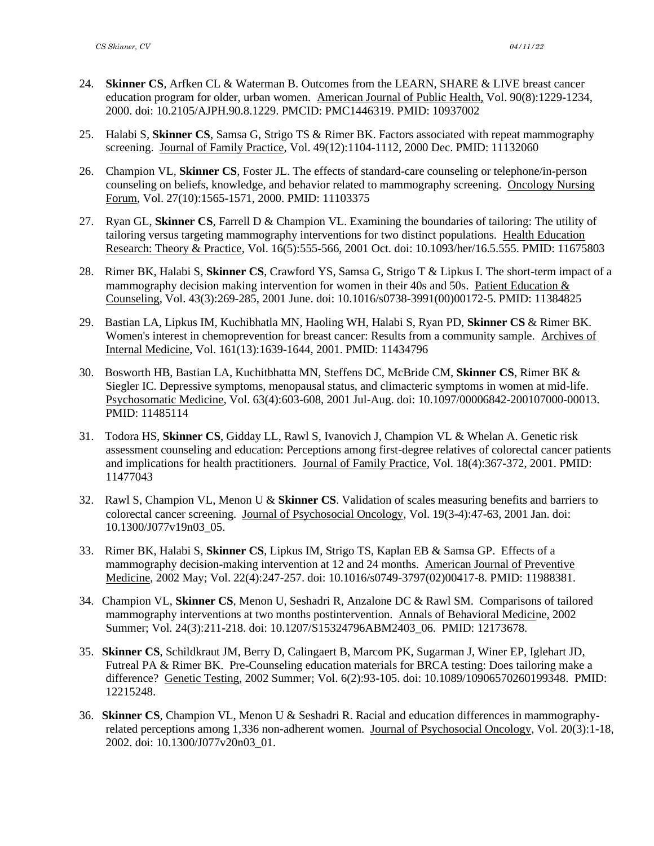- 24. **Skinner CS**, Arfken CL & Waterman B. Outcomes from the LEARN, SHARE & LIVE breast cancer education program for older, urban women. American Journal of Public Health, Vol. 90(8):1229-1234, 2000. doi: 10.2105/AJPH.90.8.1229. PMCID: PMC1446319. PMID: 10937002
- 25. Halabi S, **Skinner CS**, Samsa G, Strigo TS & Rimer BK. Factors associated with repeat mammography screening. Journal of Family Practice, Vol. 49(12):1104-1112, 2000 Dec. PMID: 11132060
- 26. Champion VL, **Skinner CS**, Foster JL. The effects of standard-care counseling or telephone/in-person counseling on beliefs, knowledge, and behavior related to mammography screening. Oncology Nursing Forum, Vol. 27(10):1565-1571, 2000. PMID: 11103375
- 27. Ryan GL, **Skinner CS**, Farrell D & Champion VL. Examining the boundaries of tailoring: The utility of tailoring versus targeting mammography interventions for two distinct populations. Health Education Research: Theory & Practice, Vol. 16(5):555-566, 2001 Oct. doi: 10.1093/her/16.5.555. PMID: 11675803
- 28. Rimer BK, Halabi S, **Skinner CS**, Crawford YS, Samsa G, Strigo T & Lipkus I. The short-term impact of a mammography decision making intervention for women in their 40s and 50s. Patient Education & Counseling, Vol. 43(3):269-285, 2001 June. doi: 10.1016/s0738-3991(00)00172-5. PMID: 11384825
- 29. Bastian LA, Lipkus IM, Kuchibhatla MN, Haoling WH, Halabi S, Ryan PD, **Skinner CS** & Rimer BK. Women's interest in chemoprevention for breast cancer: Results from a community sample. Archives of Internal Medicine, Vol. 161(13):1639-1644, 2001. PMID: 11434796
- 30. Bosworth HB, Bastian LA, Kuchitbhatta MN, Steffens DC, McBride CM, **Skinner CS**, Rimer BK & Siegler IC. Depressive symptoms, menopausal status, and climacteric symptoms in women at mid-life. Psychosomatic Medicine, Vol. 63(4):603-608, 2001 Jul-Aug. doi: 10.1097/00006842-200107000-00013. PMID: 11485114
- 31. Todora HS, **Skinner CS**, Gidday LL, Rawl S, Ivanovich J, Champion VL & Whelan A. Genetic risk assessment counseling and education: Perceptions among first-degree relatives of colorectal cancer patients and implications for health practitioners. Journal of Family Practice, Vol. 18(4):367-372, 2001. PMID: 11477043
- 32. Rawl S, Champion VL, Menon U & **Skinner CS**. Validation of scales measuring benefits and barriers to colorectal cancer screening. Journal of Psychosocial Oncology, Vol. 19(3-4):47-63, 2001 Jan. doi: 10.1300/J077v19n03\_05.
- 33. Rimer BK, Halabi S, **Skinner CS**, Lipkus IM, Strigo TS, Kaplan EB & Samsa GP. Effects of a mammography decision-making intervention at 12 and 24 months. American Journal of Preventive Medicine, 2002 May; Vol. 22(4):247-257. doi: 10.1016/s0749-3797(02)00417-8. PMID: 11988381.
- 34. Champion VL, **Skinner CS**, Menon U, Seshadri R, Anzalone DC & Rawl SM. Comparisons of tailored mammography interventions at two months postintervention. Annals of Behavioral Medicine, 2002 Summer; Vol. 24(3):211-218. doi: 10.1207/S15324796ABM2403\_06. PMID: 12173678.
- 35. **Skinner CS**, Schildkraut JM, Berry D, Calingaert B, Marcom PK, Sugarman J, Winer EP, Iglehart JD, Futreal PA & Rimer BK. Pre-Counseling education materials for BRCA testing: Does tailoring make a difference? Genetic Testing, 2002 Summer; Vol. 6(2):93-105. doi: 10.1089/10906570260199348. PMID: 12215248.
- 36. **Skinner CS**, Champion VL, Menon U & Seshadri R. Racial and education differences in mammographyrelated perceptions among 1,336 non-adherent women. Journal of Psychosocial Oncology, Vol. 20(3):1-18, 2002. doi: 10.1300/J077v20n03\_01.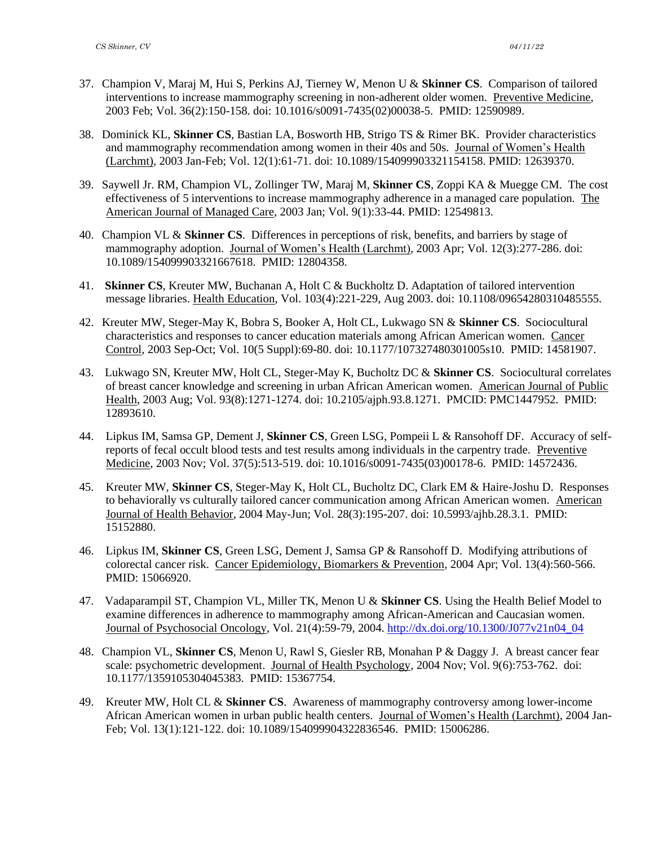- 37. Champion V, Maraj M, Hui S, Perkins AJ, Tierney W, Menon U & **Skinner CS**. Comparison of tailored interventions to increase mammography screening in non-adherent older women. Preventive Medicine, 2003 Feb; Vol. 36(2):150-158. doi: 10.1016/s0091-7435(02)00038-5. PMID: 12590989.
- 38. Dominick KL, **Skinner CS**, Bastian LA, Bosworth HB, Strigo TS & Rimer BK. Provider characteristics and mammography recommendation among women in their 40s and 50s. Journal of Women's Health (Larchmt), 2003 Jan-Feb; Vol. 12(1):61-71. doi: 10.1089/154099903321154158. PMID: 12639370.
- 39. Saywell Jr. RM, Champion VL, Zollinger TW, Maraj M, **Skinner CS**, Zoppi KA & Muegge CM. The cost effectiveness of 5 interventions to increase mammography adherence in a managed care population. The American Journal of Managed Care, 2003 Jan; Vol. 9(1):33-44. PMID: 12549813.
- 40. Champion VL & **Skinner CS**. Differences in perceptions of risk, benefits, and barriers by stage of mammography adoption. Journal of Women's Health (Larchmt), 2003 Apr; Vol. 12(3):277-286. doi: 10.1089/154099903321667618. PMID: 12804358.
- 41. **Skinner CS**, Kreuter MW, Buchanan A, Holt C & Buckholtz D. Adaptation of tailored intervention message libraries. Health Education, Vol. 103(4):221-229, Aug 2003. doi: 10.1108/09654280310485555.
- 42. Kreuter MW, Steger-May K, Bobra S, Booker A, Holt CL, Lukwago SN & **Skinner CS**. Sociocultural characteristics and responses to cancer education materials among African American women. Cancer Control, 2003 Sep-Oct; Vol. 10(5 Suppl):69-80. doi: 10.1177/107327480301005s10. PMID: 14581907.
- 43. Lukwago SN, Kreuter MW, Holt CL, Steger-May K, Bucholtz DC & **Skinner CS**. Sociocultural correlates of breast cancer knowledge and screening in urban African American women. American Journal of Public Health, 2003 Aug; Vol. 93(8):1271-1274. doi: 10.2105/ajph.93.8.1271. PMCID: PMC1447952. PMID: 12893610.
- 44. Lipkus IM, Samsa GP, Dement J, **Skinner CS**, Green LSG, Pompeii L & Ransohoff DF. Accuracy of selfreports of fecal occult blood tests and test results among individuals in the carpentry trade. Preventive Medicine, 2003 Nov; Vol. 37(5):513-519. doi: 10.1016/s0091-7435(03)00178-6. PMID: 14572436.
- 45. Kreuter MW, **Skinner CS**, Steger-May K, Holt CL, Bucholtz DC, Clark EM & Haire-Joshu D. Responses to behaviorally vs culturally tailored cancer communication among African American women. American Journal of Health Behavior, 2004 May-Jun; Vol. 28(3):195-207. doi: 10.5993/ajhb.28.3.1. PMID: 15152880.
- 46. Lipkus IM, **Skinner CS**, Green LSG, Dement J, Samsa GP & Ransohoff D. Modifying attributions of colorectal cancer risk. Cancer Epidemiology, Biomarkers & Prevention, 2004 Apr; Vol. 13(4):560-566. PMID: 15066920.
- 47. Vadaparampil ST, Champion VL, Miller TK, Menon U & **Skinner CS**. Using the Health Belief Model to examine differences in adherence to mammography among African-American and Caucasian women. Journal of Psychosocial Oncology, Vol. 21(4):59-79, 2004[. http://dx.doi.org/10.1300/J077v21n04\\_04](http://dx.doi.org/10.1300/J077v21n04_04)
- 48. Champion VL, **Skinner CS**, Menon U, Rawl S, Giesler RB, Monahan P & Daggy J. A breast cancer fear scale: psychometric development. Journal of Health Psychology, 2004 Nov; Vol. 9(6):753-762. doi: 10.1177/1359105304045383. PMID: 15367754.
- 49. Kreuter MW, Holt CL & **Skinner CS**. Awareness of mammography controversy among lower-income African American women in urban public health centers. Journal of Women's Health (Larchmt), 2004 Jan-Feb; Vol. 13(1):121-122. doi: 10.1089/154099904322836546. PMID: 15006286.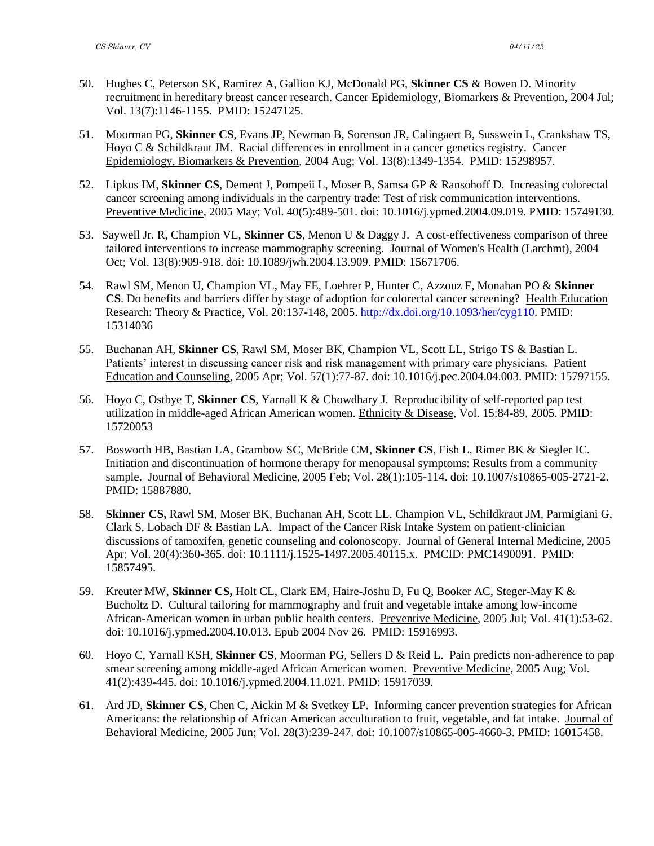- 50. Hughes C, Peterson SK, Ramirez A, Gallion KJ, McDonald PG, **Skinner CS** & Bowen D. Minority recruitment in hereditary breast cancer research. Cancer Epidemiology, Biomarkers & Prevention, 2004 Jul; Vol. 13(7):1146-1155. PMID: 15247125.
- 51. Moorman PG, **Skinner CS**, Evans JP, Newman B, Sorenson JR, Calingaert B, Susswein L, Crankshaw TS, Hoyo C & Schildkraut JM. Racial differences in enrollment in a cancer genetics registry. Cancer Epidemiology, Biomarkers & Prevention, 2004 Aug; Vol. 13(8):1349-1354. PMID: 15298957.
- 52. Lipkus IM, **Skinner CS**, Dement J, Pompeii L, Moser B, Samsa GP & Ransohoff D. Increasing colorectal cancer screening among individuals in the carpentry trade: Test of risk communication interventions. Preventive Medicine, 2005 May; Vol. 40(5):489-501. doi: 10.1016/j.ypmed.2004.09.019. PMID: 15749130.
- 53. Saywell Jr. R, Champion VL, **Skinner CS**, Menon U & Daggy J. A cost-effectiveness comparison of three tailored interventions to increase mammography screening. Journal of Women's Health (Larchmt), 2004 Oct; Vol. 13(8):909-918. doi: 10.1089/jwh.2004.13.909. PMID: 15671706.
- 54. Rawl SM, Menon U, Champion VL, May FE, Loehrer P, Hunter C, Azzouz F, Monahan PO & **Skinner CS**. Do benefits and barriers differ by stage of adoption for colorectal cancer screening? Health Education Research: Theory & Practice, Vol. 20:137-148, 2005. [http://dx.doi.org/10.1093/her/cyg110.](http://dx.doi.org/10.1093/her/cyg110) PMID: 15314036
- 55. Buchanan AH, **Skinner CS**, Rawl SM, Moser BK, Champion VL, Scott LL, Strigo TS & Bastian L. Patients' interest in discussing cancer risk and risk management with primary care physicians. Patient Education and Counseling, 2005 Apr; Vol. 57(1):77-87. doi: 10.1016/j.pec.2004.04.003. PMID: 15797155.
- 56. Hoyo C, Ostbye T, **Skinner CS**, Yarnall K & Chowdhary J. Reproducibility of self-reported pap test utilization in middle-aged African American women. Ethnicity & Disease, Vol. 15:84-89, 2005. PMID: 15720053
- 57. Bosworth HB, Bastian LA, Grambow SC, McBride CM, **Skinner CS**, Fish L, Rimer BK & Siegler IC. Initiation and discontinuation of hormone therapy for menopausal symptoms: Results from a community sample. Journal of Behavioral Medicine, 2005 Feb; Vol. 28(1):105-114. doi: 10.1007/s10865-005-2721-2. PMID: 15887880.
- 58. **Skinner CS,** Rawl SM, Moser BK, Buchanan AH, Scott LL, Champion VL, Schildkraut JM, Parmigiani G, Clark S, Lobach DF & Bastian LA. Impact of the Cancer Risk Intake System on patient-clinician discussions of tamoxifen, genetic counseling and colonoscopy. Journal of General Internal Medicine, 2005 Apr; Vol. 20(4):360-365. doi: 10.1111/j.1525-1497.2005.40115.x. PMCID: PMC1490091. PMID: 15857495.
- 59. Kreuter MW, **Skinner CS,** Holt CL, Clark EM, Haire-Joshu D, Fu Q, Booker AC, Steger-May K & Bucholtz D. Cultural tailoring for mammography and fruit and vegetable intake among low-income African-American women in urban public health centers. Preventive Medicine, 2005 Jul; Vol. 41(1):53-62. doi: 10.1016/j.ypmed.2004.10.013. Epub 2004 Nov 26. PMID: 15916993.
- 60. Hoyo C, Yarnall KSH, **Skinner CS**, Moorman PG, Sellers D & Reid L. Pain predicts non-adherence to pap smear screening among middle-aged African American women. Preventive Medicine, 2005 Aug; Vol. 41(2):439-445. doi: 10.1016/j.ypmed.2004.11.021. PMID: 15917039.
- 61. Ard JD, **Skinner CS**, Chen C, Aickin M & Svetkey LP. Informing cancer prevention strategies for African Americans: the relationship of African American acculturation to fruit, vegetable, and fat intake. Journal of Behavioral Medicine, 2005 Jun; Vol. 28(3):239-247. doi: 10.1007/s10865-005-4660-3. PMID: 16015458.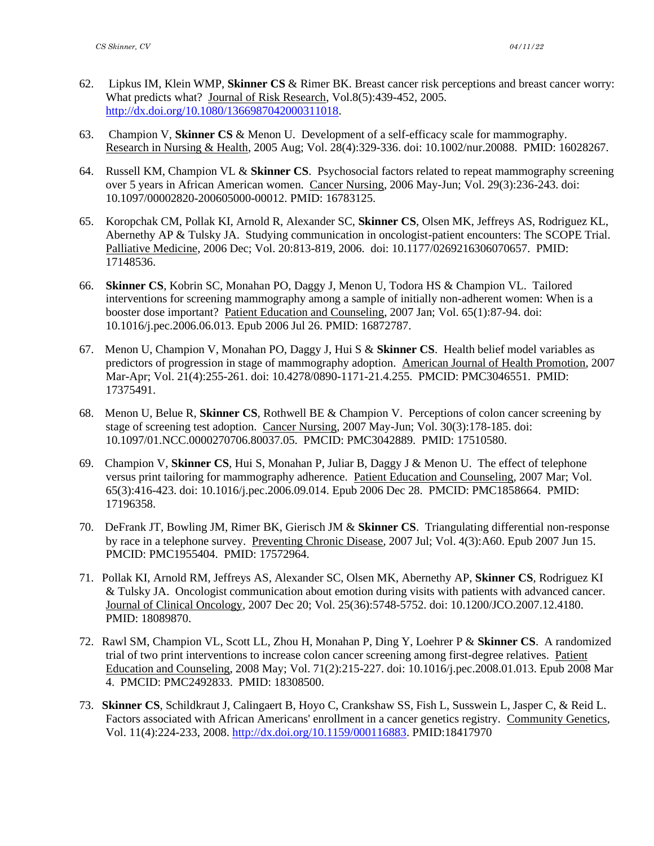- 62. Lipkus IM, Klein WMP, **Skinner CS** & Rimer BK. Breast cancer risk perceptions and breast cancer worry: What predicts what? Journal of Risk Research, Vol.8(5):439-452, 2005. [http://dx.doi.org/10.1080/1366987042000311018.](http://dx.doi.org/10.1080/1366987042000311018)
- 63. Champion V, **Skinner CS** & Menon U. Development of a self-efficacy scale for mammography. Research in Nursing & Health, 2005 Aug; Vol. 28(4):329-336. doi: 10.1002/nur.20088. PMID: 16028267.
- 64. Russell KM, Champion VL & **Skinner CS**. Psychosocial factors related to repeat mammography screening over 5 years in African American women. Cancer Nursing, 2006 May-Jun; Vol. 29(3):236-243. doi: 10.1097/00002820-200605000-00012. PMID: 16783125.
- 65. Koropchak CM, Pollak KI, Arnold R, Alexander SC, **Skinner CS**, Olsen MK, Jeffreys AS, Rodriguez KL, Abernethy AP & Tulsky JA. Studying communication in oncologist-patient encounters: The SCOPE Trial. Palliative Medicine, 2006 Dec; Vol. 20:813-819, 2006. doi: 10.1177/0269216306070657. PMID: 17148536.
- 66. **Skinner CS**, Kobrin SC, Monahan PO, Daggy J, Menon U, Todora HS & Champion VL. Tailored interventions for screening mammography among a sample of initially non-adherent women: When is a booster dose important? Patient Education and Counseling, 2007 Jan; Vol. 65(1):87-94. doi: 10.1016/j.pec.2006.06.013. Epub 2006 Jul 26. PMID: 16872787.
- 67. Menon U, Champion V, Monahan PO, Daggy J, Hui S & **Skinner CS**. Health belief model variables as predictors of progression in stage of mammography adoption. American Journal of Health Promotion, 2007 Mar-Apr; Vol. 21(4):255-261. doi: 10.4278/0890-1171-21.4.255. PMCID: PMC3046551. PMID: 17375491.
- 68. Menon U, Belue R, **Skinner CS**, Rothwell BE & Champion V. Perceptions of colon cancer screening by stage of screening test adoption. Cancer Nursing, 2007 May-Jun; Vol. 30(3):178-185. doi: 10.1097/01.NCC.0000270706.80037.05. PMCID: PMC3042889. PMID: 17510580.
- 69. Champion V, **Skinner CS**, Hui S, Monahan P, Juliar B, Daggy J & Menon U. The effect of telephone versus print tailoring for mammography adherence. Patient Education and Counseling, 2007 Mar; Vol. 65(3):416-423. doi: 10.1016/j.pec.2006.09.014. Epub 2006 Dec 28. PMCID: PMC1858664. PMID: 17196358.
- 70. DeFrank JT, Bowling JM, Rimer BK, Gierisch JM & **Skinner CS**. Triangulating differential non-response by race in a telephone survey. Preventing Chronic Disease, 2007 Jul; Vol. 4(3):A60. Epub 2007 Jun 15. PMCID: PMC1955404. PMID: 17572964.
- 71. Pollak KI, Arnold RM, Jeffreys AS, Alexander SC, Olsen MK, Abernethy AP, **Skinner CS**, Rodriguez KI & Tulsky JA. Oncologist communication about emotion during visits with patients with advanced cancer. Journal of Clinical Oncology, 2007 Dec 20; Vol. 25(36):5748-5752. doi: 10.1200/JCO.2007.12.4180. PMID: 18089870.
- 72. Rawl SM, Champion VL, Scott LL, Zhou H, Monahan P, Ding Y, Loehrer P & **Skinner CS**. A randomized trial of two print interventions to increase colon cancer screening among first-degree relatives. Patient Education and Counseling, 2008 May; Vol. 71(2):215-227. doi: 10.1016/j.pec.2008.01.013. Epub 2008 Mar 4. PMCID: PMC2492833. PMID: 18308500.
- 73. **Skinner CS**, Schildkraut J, Calingaert B, Hoyo C, Crankshaw SS, Fish L, Susswein L, Jasper C, & Reid L. Factors associated with African Americans' enrollment in a cancer genetics registry. Community Genetics, Vol. 11(4):224-233, 2008. [http://dx.doi.org/10.1159/000116883.](http://dx.doi.org/10.1159/000116883) PMID:18417970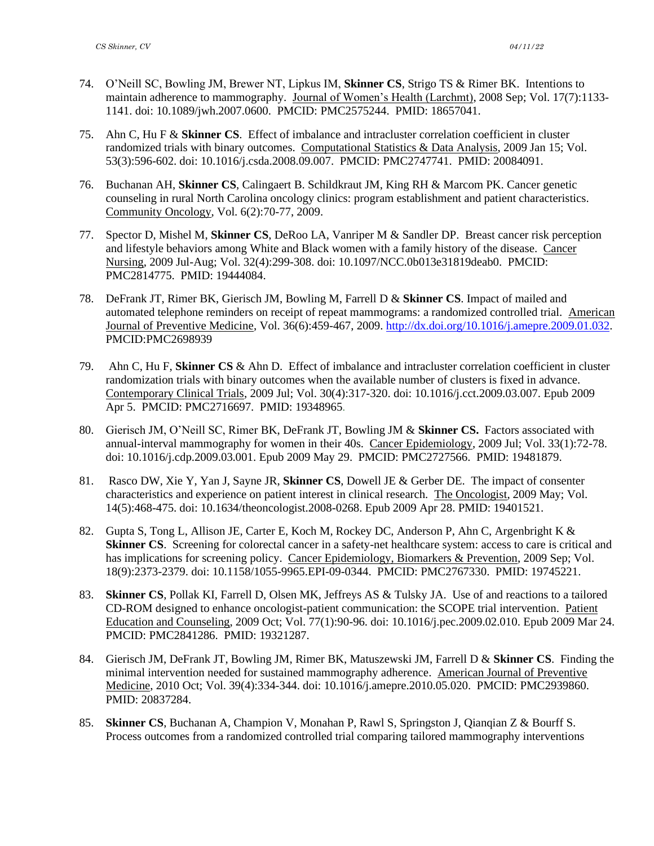- 74. O'Neill SC, Bowling JM, Brewer NT, Lipkus IM, **Skinner CS**, Strigo TS & Rimer BK. Intentions to maintain adherence to mammography. Journal of Women's Health (Larchmt), 2008 Sep; Vol. 17(7):1133- 1141. doi: 10.1089/jwh.2007.0600. PMCID: PMC2575244. PMID: 18657041.
- 75. Ahn C, Hu F & **Skinner CS**. Effect of imbalance and intracluster correlation coefficient in cluster randomized trials with binary outcomes. Computational Statistics & Data Analysis, 2009 Jan 15; Vol. 53(3):596-602. doi: 10.1016/j.csda.2008.09.007. PMCID: PMC2747741. PMID: 20084091.
- 76. Buchanan AH, **Skinner CS**, Calingaert B. Schildkraut JM, King RH & Marcom PK. Cancer genetic counseling in rural North Carolina oncology clinics: program establishment and patient characteristics. Community Oncology, Vol. 6(2):70-77, 2009.
- 77. Spector D, Mishel M, **Skinner CS**, DeRoo LA, Vanriper M & Sandler DP. Breast cancer risk perception and lifestyle behaviors among White and Black women with a family history of the disease. Cancer Nursing, 2009 Jul-Aug; Vol. 32(4):299-308. doi: 10.1097/NCC.0b013e31819deab0. PMCID: PMC2814775. PMID: 19444084.
- 78. DeFrank JT, Rimer BK, Gierisch JM, Bowling M, Farrell D & **Skinner CS**. Impact of mailed and automated telephone reminders on receipt of repeat mammograms: a randomized controlled trial. American Journal of Preventive Medicine, Vol. 36(6):459-467, 2009. [http://dx.doi.org/10.1016/j.amepre.2009.01.032.](http://dx.doi.org/10.1016/j.amepre.2009.01.032) PMCID:PMC2698939
- 79. Ahn C, Hu F, **Skinner CS** & Ahn D. Effect of imbalance and intracluster correlation coefficient in cluster randomization trials with binary outcomes when the available number of clusters is fixed in advance. Contemporary Clinical Trials, 2009 Jul; Vol. 30(4):317-320. doi: 10.1016/j.cct.2009.03.007. Epub 2009 Apr 5. PMCID: PMC2716697. PMID: 19348965.
- 80. Gierisch JM, O'Neill SC, Rimer BK, DeFrank JT, Bowling JM & **Skinner CS.** Factors associated with annual-interval mammography for women in their 40s. Cancer Epidemiology, 2009 Jul; Vol. 33(1):72-78. doi: 10.1016/j.cdp.2009.03.001. Epub 2009 May 29. PMCID: PMC2727566. PMID: 19481879.
- 81. Rasco DW, Xie Y, Yan J, Sayne JR, **Skinner CS**, Dowell JE & Gerber DE. The impact of consenter characteristics and experience on patient interest in clinical research. The Oncologist, 2009 May; Vol. 14(5):468-475. doi: 10.1634/theoncologist.2008-0268. Epub 2009 Apr 28. PMID: 19401521.
- 82. Gupta S, Tong L, Allison JE, Carter E, Koch M, Rockey DC, Anderson P, Ahn C, Argenbright K & **Skinner CS**. Screening for colorectal cancer in a safety-net healthcare system: access to care is critical and has implications for screening policy. Cancer Epidemiology, Biomarkers & Prevention, 2009 Sep; Vol. 18(9):2373-2379. doi: 10.1158/1055-9965.EPI-09-0344. PMCID: PMC2767330. PMID: 19745221.
- 83. **Skinner CS**, Pollak KI, Farrell D, Olsen MK, Jeffreys AS & Tulsky JA. Use of and reactions to a tailored CD-ROM designed to enhance oncologist-patient communication: the SCOPE trial intervention. Patient Education and Counseling, 2009 Oct; Vol. 77(1):90-96. doi: 10.1016/j.pec.2009.02.010. Epub 2009 Mar 24. PMCID: PMC2841286. PMID: 19321287.
- 84. Gierisch JM, DeFrank JT, Bowling JM, Rimer BK, Matuszewski JM, Farrell D & **Skinner CS**. Finding the minimal intervention needed for sustained mammography adherence. American Journal of Preventive Medicine, 2010 Oct; Vol. 39(4):334-344. doi: 10.1016/j.amepre.2010.05.020. PMCID: PMC2939860. PMID: 20837284.
- 85. **Skinner CS**, Buchanan A, Champion V, Monahan P, Rawl S, Springston J, Qianqian Z & Bourff S. Process outcomes from a randomized controlled trial comparing tailored mammography interventions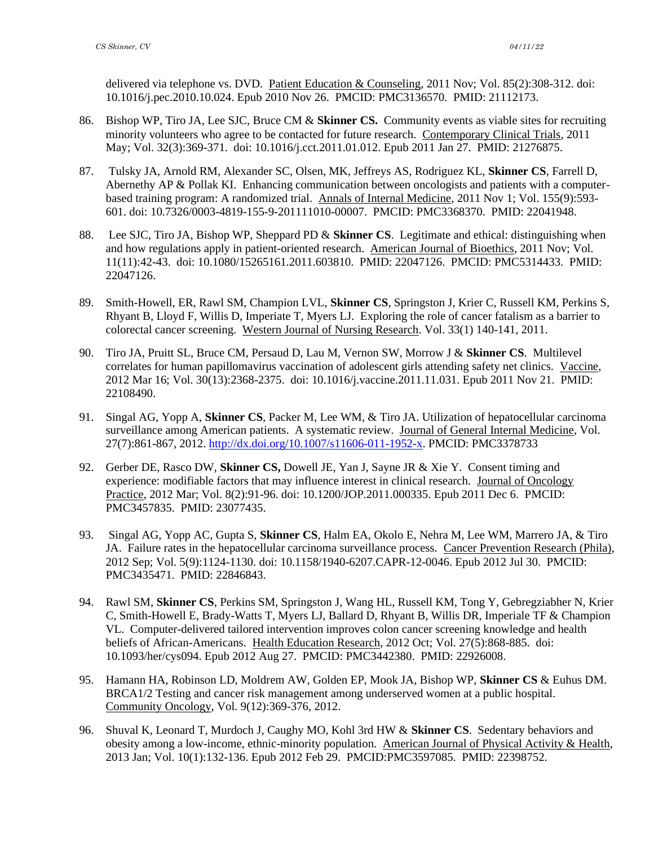delivered via telephone vs. DVD. Patient Education & Counseling, 2011 Nov; Vol. 85(2):308-312. doi: 10.1016/j.pec.2010.10.024. Epub 2010 Nov 26. PMCID: PMC3136570. PMID: 21112173.

- 86. Bishop WP, Tiro JA, Lee SJC, Bruce CM & **Skinner CS.** Community events as viable sites for recruiting minority volunteers who agree to be contacted for future research. Contemporary Clinical Trials, 2011 May; Vol. 32(3):369-371. doi: 10.1016/j.cct.2011.01.012. Epub 2011 Jan 27. PMID: 21276875.
- 87. Tulsky JA, Arnold RM, Alexander SC, Olsen, MK, Jeffreys AS, Rodriguez KL, **Skinner CS**, Farrell D, Abernethy AP & Pollak KI. Enhancing communication between oncologists and patients with a computerbased training program: A randomized trial. Annals of Internal Medicine, 2011 Nov 1; Vol. 155(9):593- 601. doi: 10.7326/0003-4819-155-9-201111010-00007. PMCID: PMC3368370. PMID: 22041948.
- 88. Lee SJC, Tiro JA, Bishop WP, Sheppard PD & **Skinner CS**. Legitimate and ethical: distinguishing when and how regulations apply in patient-oriented research. American Journal of Bioethics, 2011 Nov; Vol. 11(11):42-43. doi: 10.1080/15265161.2011.603810. PMID: 22047126. PMCID: [PMC5314433.](https://www.ncbi.nlm.nih.gov/pmc/articles/PMC5314433/) PMID: 22047126.
- 89. Smith-Howell, ER, Rawl SM, Champion LVL, **Skinner CS**, Springston J, Krier C, Russell KM, Perkins S, Rhyant B, Lloyd F, Willis D, Imperiate T, Myers LJ. Exploring the role of cancer fatalism as a barrier to colorectal cancer screening. Western Journal of Nursing Research. Vol. 33(1) 140-141, 2011.
- 90. Tiro JA, Pruitt SL, Bruce CM, Persaud D, Lau M, Vernon SW, Morrow J & **Skinner CS**. Multilevel correlates for human papillomavirus vaccination of adolescent girls attending safety net clinics. Vaccine, 2012 Mar 16; Vol. 30(13):2368-2375. doi: 10.1016/j.vaccine.2011.11.031. Epub 2011 Nov 21. PMID: 22108490.
- 91. Singal AG, Yopp A, **Skinner CS**, Packer M, Lee WM, & Tiro JA. Utilization of hepatocellular carcinoma surveillance among American patients. A systematic review. Journal of General Internal Medicine, Vol. 27(7):861-867, 2012. [http://dx.doi.org/10.1007/s11606-011-1952-x.](http://dx.doi.org/10.1007/s11606-011-1952-x) PMCID: PMC3378733
- 92. Gerber DE, Rasco DW, **Skinner CS,** Dowell JE, Yan J, Sayne JR & Xie Y. Consent timing and experience: modifiable factors that may influence interest in clinical research. Journal of Oncology Practice, 2012 Mar; Vol. 8(2):91-96. doi: 10.1200/JOP.2011.000335. Epub 2011 Dec 6. PMCID: PMC3457835. PMID: 23077435.
- 93. Singal AG, Yopp AC, Gupta S, **Skinner CS**, Halm EA, Okolo E, Nehra M, Lee WM, Marrero JA, & Tiro JA. Failure rates in the hepatocellular carcinoma surveillance process. Cancer Prevention Research (Phila), 2012 Sep; Vol. 5(9):1124-1130. doi: 10.1158/1940-6207.CAPR-12-0046. Epub 2012 Jul 30. PMCID: PMC3435471. PMID: 22846843.
- 94. Rawl SM, **Skinner CS**, Perkins SM, Springston J, Wang HL, Russell KM, Tong Y, Gebregziabher N, Krier C, Smith-Howell E, Brady-Watts T, Myers LJ, Ballard D, Rhyant B, Willis DR, Imperiale TF & Champion VL. Computer-delivered tailored intervention improves colon cancer screening knowledge and health beliefs of African-Americans. Health Education Research, 2012 Oct; Vol. 27(5):868-885. doi: 10.1093/her/cys094. Epub 2012 Aug 27. PMCID: PMC3442380. PMID: 22926008.
- 95. Hamann HA, Robinson LD, Moldrem AW, Golden EP, Mook JA, Bishop WP, **Skinner CS** & Euhus DM. BRCA1/2 Testing and cancer risk management among underserved women at a public hospital. Community Oncology, Vol. 9(12):369-376, 2012.
- 96. Shuval K, Leonard T, Murdoch J, Caughy MO, Kohl 3rd HW & **Skinner CS**. Sedentary behaviors and obesity among a low-income, ethnic-minority population. American Journal of Physical Activity & Health, 2013 Jan; Vol. 10(1):132-136. Epub 2012 Feb 29. PMCID:PMC3597085. PMID: 22398752.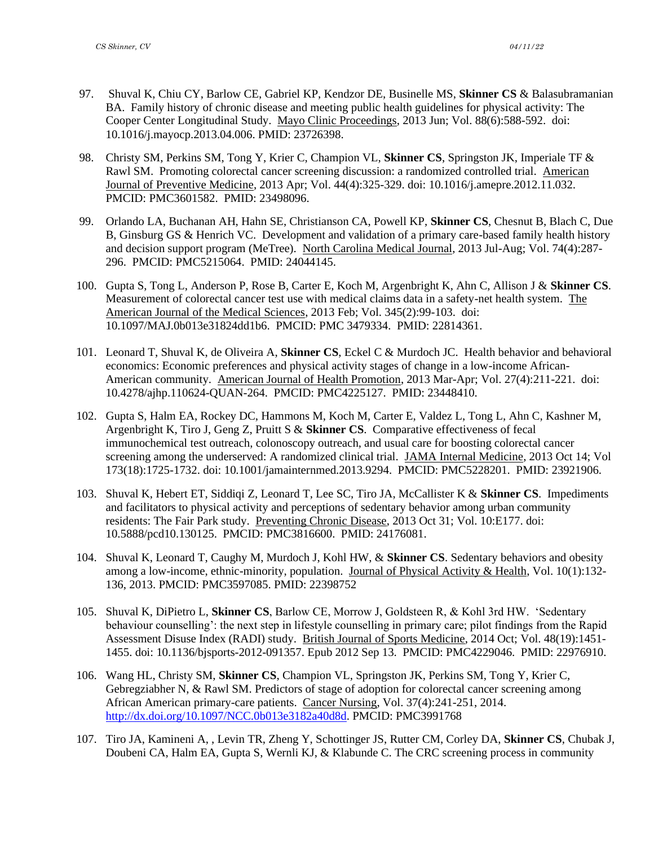- 97. [Shuval K,](http://www.ncbi.nlm.nih.gov/pubmed/?term=Shuval%20K%5BAuthor%5D&cauthor=true&cauthor_uid=23726398) [Chiu CY,](http://www.ncbi.nlm.nih.gov/pubmed/?term=Chiu%20CY%5BAuthor%5D&cauthor=true&cauthor_uid=23726398) [Barlow CE,](http://www.ncbi.nlm.nih.gov/pubmed/?term=Barlow%20CE%5BAuthor%5D&cauthor=true&cauthor_uid=23726398) [Gabriel KP,](http://www.ncbi.nlm.nih.gov/pubmed/?term=Gabriel%20KP%5BAuthor%5D&cauthor=true&cauthor_uid=23726398) [Kendzor DE,](http://www.ncbi.nlm.nih.gov/pubmed/?term=Kendzor%20DE%5BAuthor%5D&cauthor=true&cauthor_uid=23726398) [Businelle MS,](http://www.ncbi.nlm.nih.gov/pubmed/?term=Businelle%20MS%5BAuthor%5D&cauthor=true&cauthor_uid=23726398) **[Skinner CS](http://www.ncbi.nlm.nih.gov/pubmed/?term=Skinner%20CS%5BAuthor%5D&cauthor=true&cauthor_uid=23726398)** & [Balasubramanian](http://www.ncbi.nlm.nih.gov/pubmed/?term=Balasubramanian%20BA%5BAuthor%5D&cauthor=true&cauthor_uid=23726398)  [BA.](http://www.ncbi.nlm.nih.gov/pubmed/?term=Balasubramanian%20BA%5BAuthor%5D&cauthor=true&cauthor_uid=23726398) Family history of chronic disease and meeting public health guidelines for physical activity: The Cooper Center Longitudinal Study. Mayo Clinic Proceedings, 2013 Jun; Vol. 88(6):588-592. doi: 10.1016/j.mayocp.2013.04.006. PMID: 23726398.
- 98. Christy SM, Perkins SM, Tong Y, Krier C, Champion VL, **Skinner CS**, Springston JK, Imperiale TF & Rawl SM. Promoting colorectal cancer screening discussion: a randomized controlled trial. American Journal of Preventive Medicine, 2013 Apr; Vol. 44(4):325-329. doi: 10.1016/j.amepre.2012.11.032. PMCID: PMC3601582. PMID: 23498096.
- 99. Orlando LA, Buchanan AH, Hahn SE, Christianson CA, Powell KP, **Skinner CS**, Chesnut B, Blach C, Due B, Ginsburg GS & Henrich VC. Development and validation of a primary care-based family health history and decision support program (MeTree). North Carolina Medical Journal, 2013 Jul-Aug; Vol. 74(4):287- 296. PMCID: PMC5215064. PMID: 24044145.
- 100. Gupta S, Tong L, Anderson P, Rose B, Carter E, Koch M, Argenbright K, Ahn C, Allison J & **Skinner CS**. Measurement of colorectal cancer test use with medical claims data in a safety-net health system. The American Journal of the Medical Sciences, 2013 Feb; Vol. 345(2):99-103. doi: 10.1097/MAJ.0b013e31824dd1b6. PMCID: PMC 3479334. PMID: 22814361.
- 101. Leonard T, Shuval K, de Oliveira A, **Skinner CS**, Eckel C & Murdoch JC. Health behavior and behavioral economics: Economic preferences and physical activity stages of change in a low-income African-American community. American Journal of Health Promotion, 2013 Mar-Apr; Vol. 27(4):211-221. doi: 10.4278/ajhp.110624-QUAN-264. PMCID: PMC4225127. PMID: 23448410.
- 102. Gupta S, Halm EA, Rockey DC, Hammons M, Koch M, Carter E, Valdez L, Tong L, Ahn C, Kashner M, Argenbright K, Tiro J, Geng Z, Pruitt S & **Skinner CS**. Comparative effectiveness of fecal immunochemical test outreach, colonoscopy outreach, and usual care for boosting colorectal cancer screening among the underserved: A randomized clinical trial. JAMA Internal Medicine, 2013 Oct 14; Vol 173(18):1725-1732. doi: 10.1001/jamainternmed.2013.9294. PMCID: PMC5228201. PMID: 23921906.
- 103. Shuval K, Hebert ET, Siddiqi Z, Leonard T, Lee SC, Tiro JA, McCallister K & **Skinner CS**. Impediments and facilitators to physical activity and perceptions of sedentary behavior among urban community residents: The Fair Park study. Preventing Chronic Disease, 2013 Oct 31; Vol. 10:E177. doi: 10.5888/pcd10.130125. PMCID: PMC3816600. PMID: 24176081.
- 104. Shuval K, Leonard T, Caughy M, Murdoch J, Kohl HW, & **Skinner CS**. Sedentary behaviors and obesity among a low-income, ethnic-minority, population. Journal of Physical Activity & Health, Vol. 10(1):132- 136, 2013. PMCID: PMC3597085. PMID: 22398752
- 105. Shuval K, DiPietro L, **Skinner CS**, Barlow CE, Morrow J, Goldsteen R, & Kohl 3rd HW. 'Sedentary behaviour counselling': the next step in lifestyle counselling in primary care; pilot findings from the Rapid Assessment Disuse Index (RADI) study. British Journal of Sports Medicine, 2014 Oct; Vol. 48(19):1451- 1455. doi: 10.1136/bjsports-2012-091357. Epub 2012 Sep 13. PMCID: PMC4229046. PMID: 22976910.
- 106. Wang HL, Christy SM, **Skinner CS**, Champion VL, Springston JK, Perkins SM, Tong Y, Krier C, Gebregziabher N, & Rawl SM. Predictors of stage of adoption for colorectal cancer screening among African American primary-care patients. Cancer Nursing, Vol. 37(4):241-251, 2014. [http://dx.doi.org/10.1097/NCC.0b013e3182a40d8d.](http://dx.doi.org/10.1097/NCC.0b013e3182a40d8d) PMCID: PMC3991768
- 107. Tiro JA, Kamineni A, , Levin TR, Zheng Y, Schottinger JS, Rutter CM, Corley DA, **Skinner CS**, Chubak J, Doubeni CA, Halm EA, Gupta S, Wernli KJ, & Klabunde C. The CRC screening process in community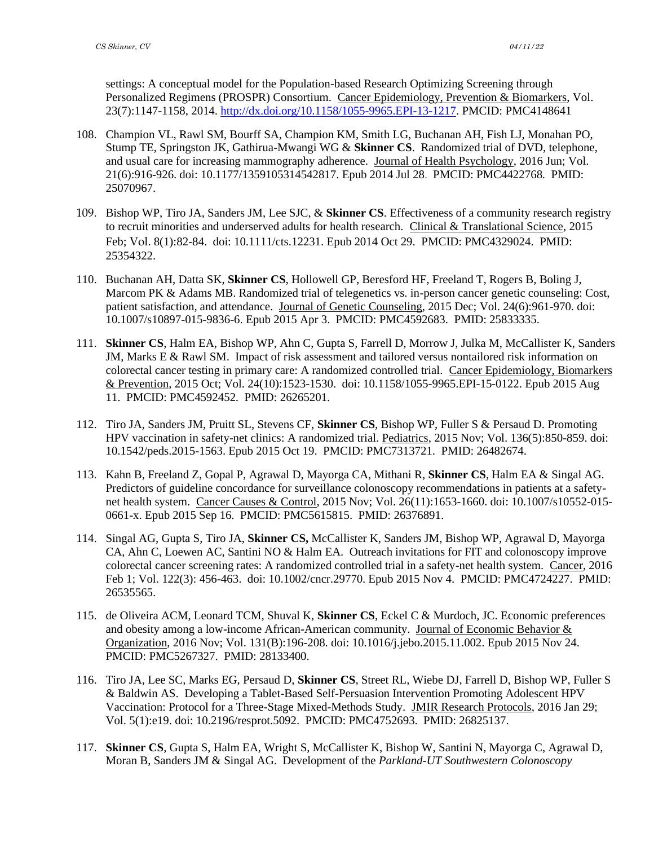settings: A conceptual model for the Population-based Research Optimizing Screening through Personalized Regimens (PROSPR) Consortium. Cancer Epidemiology, Prevention & Biomarkers, Vol. 23(7):1147-1158, 2014. [http://dx.doi.org/10.1158/1055-9965.EPI-13-1217.](http://dx.doi.org/10.1158/1055-9965.EPI-13-1217) PMCID: PMC4148641

- 108. Champion VL, Rawl SM, Bourff SA, Champion KM, Smith LG, Buchanan AH, Fish LJ, Monahan PO, Stump TE, Springston JK, Gathirua-Mwangi WG & **Skinner CS**. Randomized trial of DVD, telephone, and usual care for increasing mammography adherence. Journal of Health Psychology, 2016 Jun; Vol. 21(6):916-926. doi: 10.1177/1359105314542817. Epub 2014 Jul 28. PMCID: PMC4422768. PMID: 25070967.
- 109. Bishop WP, Tiro JA, Sanders JM, Lee SJC, & **Skinner CS**. Effectiveness of a community research registry to recruit minorities and underserved adults for health research. Clinical & Translational Science, 2015 Feb; Vol. 8(1):82-84. doi: 10.1111/cts.12231. Epub 2014 Oct 29. PMCID: PMC4329024. PMID: 25354322.
- 110. Buchanan AH, Datta SK, **Skinner CS**, Hollowell GP, Beresford HF, Freeland T, Rogers B, Boling J, Marcom PK & Adams MB. Randomized trial of telegenetics vs. in-person cancer genetic counseling: Cost, patient satisfaction, and attendance. Journal of Genetic Counseling, 2015 Dec; Vol. 24(6):961-970. doi: 10.1007/s10897-015-9836-6. Epub 2015 Apr 3. PMCID: PMC4592683. PMID: 25833335.
- 111. **Skinner CS**, Halm EA, Bishop WP, Ahn C, Gupta S, Farrell D, Morrow J, Julka M, McCallister K, Sanders JM, Marks E & Rawl SM. Impact of risk assessment and tailored versus nontailored risk information on colorectal cancer testing in primary care: A randomized controlled trial. Cancer Epidemiology, Biomarkers & Prevention, 2015 Oct; Vol. 24(10):1523-1530. doi: 10.1158/1055-9965.EPI-15-0122. Epub 2015 Aug 11. PMCID: PMC4592452. PMID: 26265201.
- 112. Tiro JA, Sanders JM, Pruitt SL, Stevens CF, **Skinner CS**, Bishop WP, Fuller S & Persaud D. Promoting HPV vaccination in safety-net clinics: A randomized trial. Pediatrics, 2015 Nov; Vol. 136(5):850-859. doi: 10.1542/peds.2015-1563. Epub 2015 Oct 19. PMCID: PMC7313721. PMID: 26482674.
- 113. Kahn B, Freeland Z, Gopal P, Agrawal D, Mayorga CA, Mithani R, **Skinner CS**, Halm EA & Singal AG. Predictors of guideline concordance for surveillance colonoscopy recommendations in patients at a safetynet health system. Cancer Causes & Control, 2015 Nov; Vol. 26(11):1653-1660. doi: 10.1007/s10552-015- 0661-x. Epub 2015 Sep 16. PMCID: PMC5615815. PMID: 26376891.
- 114. Singal AG, Gupta S, Tiro JA, **Skinner CS,** McCallister K, Sanders JM, Bishop WP, Agrawal D, Mayorga CA, Ahn C, Loewen AC, Santini NO & Halm EA. Outreach invitations for FIT and colonoscopy improve colorectal cancer screening rates: A randomized controlled trial in a safety-net health system. Cancer, 2016 Feb 1; Vol. 122(3): 456-463. doi: 10.1002/cncr.29770. Epub 2015 Nov 4. PMCID: PMC4724227. PMID: 26535565.
- 115. de Oliveira ACM, Leonard TCM, Shuval K, **Skinner CS**, Eckel C & Murdoch, JC. Economic preferences and obesity among a low-income African-American community. Journal of Economic Behavior & Organization, 2016 Nov; Vol. 131(B):196-208. doi: 10.1016/j.jebo.2015.11.002. Epub 2015 Nov 24. PMCID: PMC5267327. PMID: 28133400.
- 116. Tiro JA, Lee SC, Marks EG, Persaud D, **Skinner CS**, Street RL, Wiebe DJ, Farrell D, Bishop WP, Fuller S & Baldwin AS. Developing a Tablet-Based Self-Persuasion Intervention Promoting Adolescent HPV Vaccination: Protocol for a Three-Stage Mixed-Methods Study. JMIR Research Protocols, 2016 Jan 29; Vol. 5(1):e19. doi: 10.2196/resprot.5092. PMCID: PMC4752693. PMID: 26825137.
- 117. **Skinner CS**, Gupta S, Halm EA, Wright S, McCallister K, Bishop W, Santini N, Mayorga C, Agrawal D, Moran B, Sanders JM & Singal AG. Development of the *Parkland-UT Southwestern Colonoscopy*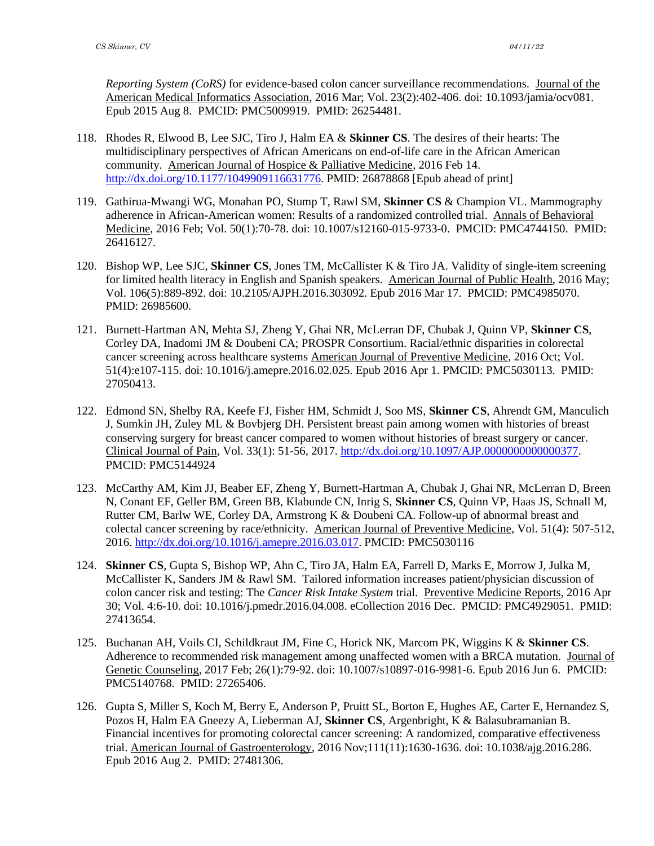*Reporting System (CoRS)* for evidence-based colon cancer surveillance recommendations. Journal of the American Medical Informatics Association, 2016 Mar; Vol. 23(2):402-406. doi: 10.1093/jamia/ocv081. Epub 2015 Aug 8. PMCID: PMC5009919. PMID: 26254481.

- 118. Rhodes R, Elwood B, Lee SJC, Tiro J, Halm EA & **Skinner CS**. The desires of their hearts: The multidisciplinary perspectives of African Americans on end-of-life care in the African American community. American Journal of Hospice & Palliative Medicine, 2016 Feb 14. [http://dx.doi.org/10.1177/1049909116631776.](http://dx.doi.org/10.1177/1049909116631776) PMID: 26878868 [Epub ahead of print]
- 119. Gathirua-Mwangi WG, Monahan PO, Stump T, Rawl SM, **Skinner CS** & Champion VL. Mammography adherence in African-American women: Results of a randomized controlled trial. Annals of Behavioral Medicine, 2016 Feb; Vol. 50(1):70-78. doi: 10.1007/s12160-015-9733-0. PMCID: PMC4744150. PMID: 26416127.
- 120. Bishop WP, Lee SJC, **Skinner CS**, Jones TM, McCallister K & Tiro JA. Validity of single-item screening for limited health literacy in English and Spanish speakers. American Journal of Public Health, 2016 May; Vol. 106(5):889-892. doi: 10.2105/AJPH.2016.303092. Epub 2016 Mar 17. PMCID: PMC4985070. PMID: 26985600.
- 121. Burnett-Hartman AN, Mehta SJ, Zheng Y, Ghai NR, McLerran DF, Chubak J, Quinn VP, **Skinner CS**, Corley DA, Inadomi JM & Doubeni CA; PROSPR Consortium. Racial/ethnic disparities in colorectal cancer screening across healthcare systems American Journal of Preventive Medicine, 2016 Oct; Vol. 51(4):e107-115. doi: 10.1016/j.amepre.2016.02.025. Epub 2016 Apr 1. PMCID: PMC5030113. PMID: 27050413.
- 122. Edmond SN, Shelby RA, Keefe FJ, Fisher HM, Schmidt J, Soo MS, **Skinner CS**, Ahrendt GM, Manculich J, Sumkin JH, Zuley ML & Bovbjerg DH. Persistent breast pain among women with histories of breast conserving surgery for breast cancer compared to women without histories of breast surgery or cancer. Clinical Journal of Pain, Vol. 33(1): 51-56, 2017. [http://dx.doi.org/10.1097/AJP.0000000000000377.](http://dx.doi.org/10.1097/AJP.0000000000000377) PMCID: PMC5144924
- 123. McCarthy AM, Kim JJ, Beaber EF, Zheng Y, Burnett-Hartman A, Chubak J, Ghai NR, McLerran D, Breen N, Conant EF, Geller BM, Green BB, Klabunde CN, Inrig S, **Skinner CS**, Quinn VP, Haas JS, Schnall M, Rutter CM, Barlw WE, Corley DA, Armstrong K & Doubeni CA. Follow-up of abnormal breast and colectal cancer screening by race/ethnicity. American Journal of Preventive Medicine, Vol. 51(4): 507-512, 2016. [http://dx.doi.org/10.1016/j.amepre.2016.03.017.](http://dx.doi.org/10.1016/j.amepre.2016.03.017) PMCID: PMC5030116
- 124. **Skinner CS**, Gupta S, Bishop WP, Ahn C, Tiro JA, Halm EA, Farrell D, Marks E, Morrow J, Julka M, McCallister K, Sanders JM & Rawl SM. Tailored information increases patient/physician discussion of colon cancer risk and testing: The *Cancer Risk Intake System* trial. Preventive Medicine Reports, 2016 Apr 30; Vol. 4:6-10. doi: 10.1016/j.pmedr.2016.04.008. eCollection 2016 Dec. PMCID: PMC4929051. PMID: 27413654.
- 125. Buchanan AH, Voils CI, Schildkraut JM, Fine C, Horick NK, Marcom PK, Wiggins K & **Skinner CS**. Adherence to recommended risk management among unaffected women with a BRCA mutation. Journal of Genetic Counseling, 2017 Feb; 26(1):79-92. doi: 10.1007/s10897-016-9981-6. Epub 2016 Jun 6. PMCID: PMC5140768. PMID: 27265406.
- 126. Gupta S, Miller S, Koch M, Berry E, Anderson P, Pruitt SL, Borton E, Hughes AE, Carter E, Hernandez S, Pozos H, Halm EA Gneezy A, Lieberman AJ, **Skinner CS**, Argenbright, K & Balasubramanian B. Financial incentives for promoting colorectal cancer screening: A randomized, comparative effectiveness trial. American Journal of Gastroenterology, 2016 Nov;111(11):1630-1636. doi: 10.1038/ajg.2016.286. Epub 2016 Aug 2. PMID: 27481306.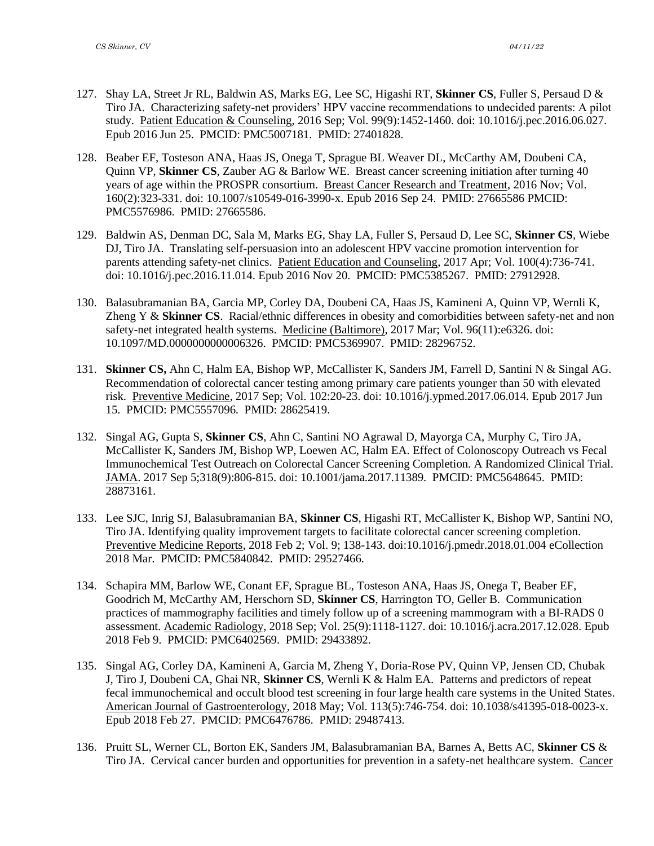- 127. Shay LA, Street Jr RL, Baldwin AS, Marks EG, Lee SC, Higashi RT, **Skinner CS**, Fuller S, Persaud D & Tiro JA. Characterizing safety-net providers' HPV vaccine recommendations to undecided parents: A pilot study. Patient Education & Counseling, 2016 Sep; Vol. 99(9):1452-1460. doi: 10.1016/j.pec.2016.06.027. Epub 2016 Jun 25. PMCID: PMC5007181. PMID: 27401828.
- 128. Beaber EF, Tosteson ANA, Haas JS, Onega T, Sprague BL Weaver DL, McCarthy AM, Doubeni CA, Quinn VP, **Skinner CS**, Zauber AG & Barlow WE. Breast cancer screening initiation after turning 40 years of age within the PROSPR consortium. Breast Cancer Research and Treatment, 2016 Nov; Vol. 160(2):323-331. doi: 10.1007/s10549-016-3990-x. Epub 2016 Sep 24. PMID: 27665586 PMCID: PMC5576986. PMID: 27665586.
- 129. Baldwin AS, Denman DC, Sala M, Marks EG, Shay LA, Fuller S, Persaud D, Lee SC, **Skinner CS**, Wiebe DJ, Tiro JA. Translating self-persuasion into an adolescent HPV vaccine promotion intervention for parents attending safety-net clinics. Patient Education and Counseling, 2017 Apr; Vol. 100(4):736-741. doi: 10.1016/j.pec.2016.11.014. Epub 2016 Nov 20. PMCID: PMC5385267. PMID: 27912928.
- 130. Balasubramanian BA, Garcia MP, Corley DA, Doubeni CA, Haas JS, Kamineni A, Quinn VP, Wernli K, Zheng Y & **Skinner CS**. Racial/ethnic differences in obesity and comorbidities between safety-net and non safety-net integrated health systems. Medicine (Baltimore), 2017 Mar; Vol. 96(11):e6326. doi: 10.1097/MD.0000000000006326. PMCID: PMC5369907. PMID: 28296752.
- 131. **Skinner CS,** Ahn C, Halm EA, Bishop WP, McCallister K, Sanders JM, Farrell D, Santini N & Singal AG. Recommendation of colorectal cancer testing among primary care patients younger than 50 with elevated risk. Preventive Medicine, 2017 Sep; Vol. 102:20-23. doi: 10.1016/j.ypmed.2017.06.014. Epub 2017 Jun 15. PMCID: PMC5557096. PMID: 28625419.
- 132. Singal AG, Gupta S, **Skinner CS**, Ahn C, Santini NO Agrawal D, Mayorga CA, Murphy C, Tiro JA, McCallister K, Sanders JM, Bishop WP, Loewen AC, Halm EA. Effect of Colonoscopy Outreach vs Fecal Immunochemical Test Outreach on Colorectal Cancer Screening Completion. A Randomized Clinical Trial. JAMA. 2017 Sep 5;318(9):806-815. doi: 10.1001/jama.2017.11389. PMCID: [PMC5648645.](http://www.ncbi.nlm.nih.gov/pmc/articles/pmc5648645/) PMID: 28873161.
- 133. Lee SJC, Inrig SJ, Balasubramanian BA, **Skinner CS**, Higashi RT, McCallister K, Bishop WP, Santini NO, Tiro JA. Identifying quality improvement targets to facilitate colorectal cancer screening completion. Preventive Medicine Reports, 2018 Feb 2; Vol. 9; 138-143. doi:10.1016/j.pmedr.2018.01.004 eCollection 2018 Mar. PMCID: [PMC5840842.](https://www.ncbi.nlm.nih.gov/pmc/articles/PMC5840842/) PMID: 29527466.
- 134. Schapira MM, Barlow WE, Conant EF, Sprague BL, Tosteson ANA, Haas JS, Onega T, Beaber EF, Goodrich M, McCarthy AM, Herschorn SD, **Skinner CS**, Harrington TO, Geller B. Communication practices of mammography facilities and timely follow up of a screening mammogram with a BI-RADS 0 assessment. Academic Radiology, 2018 Sep; Vol. 25(9):1118-1127. doi: 10.1016/j.acra.2017.12.028. Epub 2018 Feb 9. PMCID: PMC6402569. PMID: 29433892.
- 135. Singal AG, Corley DA, Kamineni A, Garcia M, Zheng Y, Doria-Rose PV, Quinn VP, Jensen CD, Chubak J, Tiro J, Doubeni CA, Ghai NR, **Skinner CS**, Wernli K & Halm EA. Patterns and predictors of repeat fecal immunochemical and occult blood test screening in four large health care systems in the United States. American Journal of Gastroenterology, 2018 May; Vol. 113(5):746-754. doi: 10.1038/s41395-018-0023-x. Epub 2018 Feb 27. PMCID: PMC6476786. PMID: 29487413.
- 136. Pruitt SL, Werner CL, Borton EK, Sanders JM, Balasubramanian BA, Barnes A, Betts AC, **Skinner CS** & Tiro JA. Cervical cancer burden and opportunities for prevention in a safety-net healthcare system. Cancer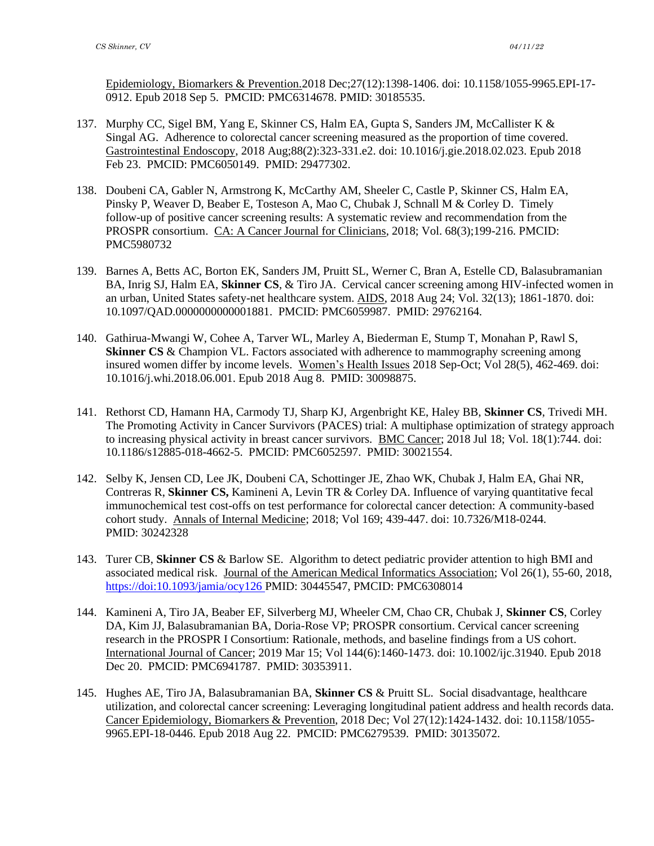Epidemiology, Biomarkers & Prevention.2018 Dec;27(12):1398-1406. doi: 10.1158/1055-9965.EPI-17- 0912. Epub 2018 Sep 5. PMCID: PMC6314678. PMID: 30185535.

- 137. Murphy CC, Sigel BM, Yang E, Skinner CS, Halm EA, Gupta S, Sanders JM, McCallister K & Singal AG. Adherence to colorectal cancer screening measured as the proportion of time covered. Gastrointestinal Endoscopy, 2018 Aug;88(2):323-331.e2. doi: 10.1016/j.gie.2018.02.023. Epub 2018 Feb 23. PMCID: PMC6050149. PMID: 29477302.
- 138. Doubeni CA, Gabler N, Armstrong K, McCarthy AM, Sheeler C, Castle P, Skinner CS, Halm EA, Pinsky P, Weaver D, Beaber E, Tosteson A, Mao C, Chubak J, Schnall M & Corley D. Timely follow-up of positive cancer screening results: A systematic review and recommendation from the PROSPR consortium. CA: A Cancer Journal for Clinicians, 2018; Vol. 68(3);199-216. PMCID: PMC5980732
- 139. Barnes A, Betts AC, Borton EK, Sanders JM, Pruitt SL, Werner C, Bran A, Estelle CD, Balasubramanian BA, Inrig SJ, Halm EA, **Skinner CS**, & Tiro JA. Cervical cancer screening among HIV-infected women in an urban, United States safety-net healthcare system. AIDS, 2018 Aug 24; Vol. 32(13); 1861-1870. doi: 10.1097/QAD.0000000000001881. PMCID: PMC6059987. PMID: [29762164.](https://www.ncbi.nlm.nih.gov/pubmed/29762164)
- 140. Gathirua-Mwangi W, Cohee A, Tarver WL, Marley A, Biederman E, Stump T, Monahan P, Rawl S, **Skinner CS** & Champion VL. Factors associated with adherence to mammography screening among insured women differ by income levels. Women's Health Issues 2018 Sep-Oct; Vol 28(5), 462-469. doi: 10.1016/j.whi.2018.06.001. Epub 2018 Aug 8. PMID: 30098875.
- 141. Rethorst CD, Hamann HA, Carmody TJ, Sharp KJ, Argenbright KE, Haley BB, **Skinner CS**, Trivedi MH. The Promoting Activity in Cancer Survivors (PACES) trial: A multiphase optimization of strategy approach to increasing physical activity in breast cancer survivors. BMC Cancer; 2018 Jul 18; Vol. 18(1):744. doi: 10.1186/s12885-018-4662-5. PMCID: PMC6052597. PMID: 30021554.
- 142. Selby K, Jensen CD, Lee JK, Doubeni CA, Schottinger JE, Zhao WK, Chubak J, Halm EA, Ghai NR, Contreras R, **Skinner CS,** Kamineni A, Levin TR & Corley DA. Influence of varying quantitative fecal immunochemical test cost-offs on test performance for colorectal cancer detection: A community-based cohort study. Annals of Internal Medicine; 2018; Vol 169; 439-447. doi: 10.7326/M18-0244. PMID: [30242328](http://www.ncbi.nlm.nih.gov/pubmed/30242328)
- 143. Turer CB, **Skinner CS** & Barlow SE. Algorithm to detect pediatric provider attention to high BMI and associated medical risk. Journal of the American Medical Informatics Association; Vol 26(1), 55-60, 2018, <https://doi:10.1093/jamia/ocy126> PMID: 30445547, PMCID: PMC6308014
- 144. Kamineni A, Tiro JA, Beaber EF, Silverberg MJ, Wheeler CM, Chao CR, Chubak J, **Skinner CS**, Corley DA, Kim JJ, Balasubramanian BA, Doria-Rose VP; PROSPR consortium. Cervical cancer screening research in the PROSPR I Consortium: Rationale, methods, and baseline findings from a US cohort. International Journal of Cancer; 2019 Mar 15; Vol 144(6):1460-1473. doi: 10.1002/ijc.31940. Epub 2018 Dec 20. PMCID: PMC6941787. PMID: 30353911.
- 145. Hughes AE, Tiro JA, Balasubramanian BA, **Skinner CS** & Pruitt SL. Social disadvantage, healthcare utilization, and colorectal cancer screening: Leveraging longitudinal patient address and health records data. Cancer Epidemiology, Biomarkers & Prevention, 2018 Dec; Vol 27(12):1424-1432. doi: 10.1158/1055- 9965.EPI-18-0446. Epub 2018 Aug 22. PMCID: PMC6279539. PMID: 30135072.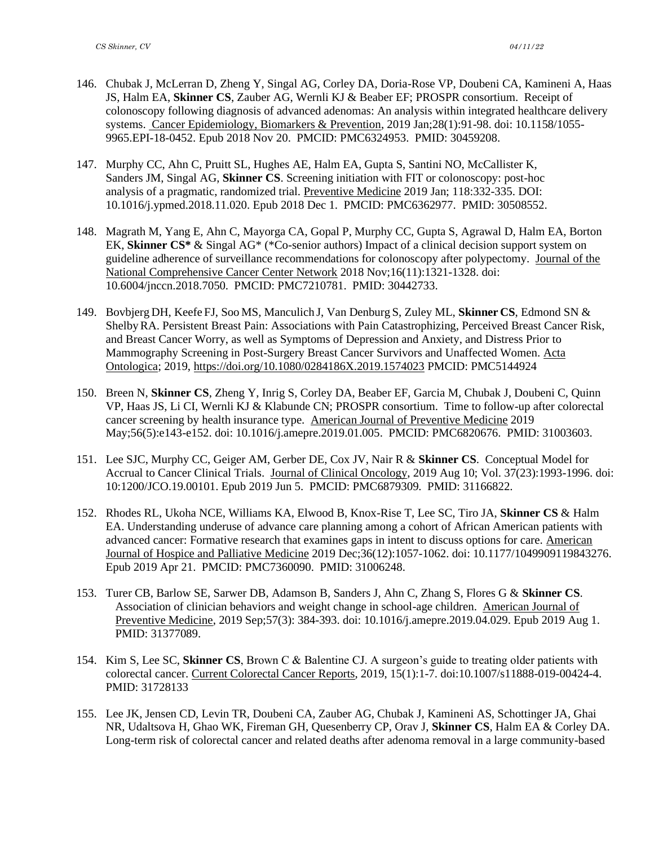- 146. Chubak J, McLerran D, Zheng Y, Singal AG, Corley DA, Doria-Rose VP, Doubeni CA, Kamineni A, Haas JS, Halm EA, **Skinner CS**, Zauber AG, Wernli KJ & Beaber EF; PROSPR consortium. Receipt of colonoscopy following diagnosis of advanced adenomas: An analysis within integrated healthcare delivery systems. Cancer Epidemiology, Biomarkers & Prevention, 2019 Jan;28(1):91-98. doi: 10.1158/1055- 9965.EPI-18-0452. Epub 2018 Nov 20. PMCID: PMC6324953. PMID: 30459208.
- 147. Murphy CC, Ahn C, Pruitt SL, Hughes AE, Halm EA, Gupta S, Santini NO, McCallister K, Sanders JM, Singal AG, **Skinner CS**. Screening initiation with FIT or colonoscopy: post-hoc analysis of a pragmatic, randomized trial. Preventive Medicine 2019 Jan; 118:332-335. DOI: 10.1016/j.ypmed.2018.11.020. Epub 2018 Dec 1. PMCID: PMC6362977. PMID: 30508552.
- 148. Magrath M, Yang E, Ahn C, Mayorga CA, Gopal P, Murphy CC, Gupta S, Agrawal D, Halm EA, Borton EK, **Skinner CS\*** & Singal AG\* (\*Co-senior authors) Impact of a clinical decision support system on guideline adherence of surveillance recommendations for colonoscopy after polypectomy. Journal of the National Comprehensive Cancer Center Network 2018 Nov;16(11):1321-1328. doi: 10.6004/jnccn.2018.7050. PMCID: PMC7210781. PMID: 30442733.
- 149. Bovbjerg DH, Keefe FJ, Soo MS, Manculich J, Van Denburg S, Zuley ML, **Skinner CS**, Edmond SN & ShelbyRA. Persistent Breast Pain: Associations with Pain Catastrophizing, Perceived Breast Cancer Risk, and Breast Cancer Worry, as well as Symptoms of Depression and Anxiety, and Distress Prior to Mammography Screening in Post-Surgery Breast Cancer Survivors and Unaffected Women. Acta Ontologica; 2019,<https://doi.org/10.1080/0284186X.2019.1574023> PMCID: PMC5144924
- 150. Breen N, **Skinner CS**, Zheng Y, Inrig S, Corley DA, Beaber EF, Garcia M, Chubak J, Doubeni C, Quinn VP, Haas JS, Li CI, Wernli KJ & Klabunde CN; PROSPR consortium. Time to follow-up after colorectal cancer screening by health insurance type. American Journal of Preventive Medicine 2019 May;56(5):e143-e152. doi: 10.1016/j.amepre.2019.01.005. PMCID: PMC6820676. PMID: 31003603.
- 151. Lee SJC, Murphy CC, Geiger AM, Gerber DE, Cox JV, Nair R & **Skinner CS**. Conceptual Model for Accrual to Cancer Clinical Trials. Journal of Clinical Oncology, 2019 Aug 10; Vol. 37(23):1993-1996. doi: 10:1200/JCO.19.00101. Epub 2019 Jun 5. PMCID: PMC6879309. PMID: 31166822.
- 152. Rhodes RL, Ukoha NCE, Williams KA, Elwood B, Knox-Rise T, Lee SC, Tiro JA, **Skinner CS** & Halm EA. Understanding underuse of advance care planning among a cohort of African American patients with advanced cancer: Formative research that examines gaps in intent to discuss options for care. American Journal of Hospice and Palliative Medicine 2019 Dec;36(12):1057-1062. doi: 10.1177/1049909119843276. Epub 2019 Apr 21. PMCID: PMC7360090. PMID: 31006248.
- 153. Turer CB, Barlow SE, Sarwer DB, Adamson B, Sanders J, Ahn C, Zhang S, Flores G & **Skinner CS**. Association of clinician behaviors and weight change in school-age children. American Journal of Preventive Medicine, 2019 Sep;57(3): 384-393. doi: 10.1016/j.amepre.2019.04.029. Epub 2019 Aug 1. PMID: 31377089.
- 154. Kim S, Lee SC, **Skinner CS**, Brown C & Balentine CJ. A surgeon's guide to treating older patients with colorectal cancer. Current Colorectal Cancer Reports, 2019, 15(1):1-7. doi:10.1007/s11888-019-00424-4. PMID: 31728133
- 155. Lee JK, Jensen CD, Levin TR, Doubeni CA, Zauber AG, Chubak J, Kamineni AS, Schottinger JA, Ghai NR, Udaltsova H, Ghao WK, Fireman GH, Quesenberry CP, Orav J, **Skinner CS**, Halm EA & Corley DA. Long-term risk of colorectal cancer and related deaths after adenoma removal in a large community-based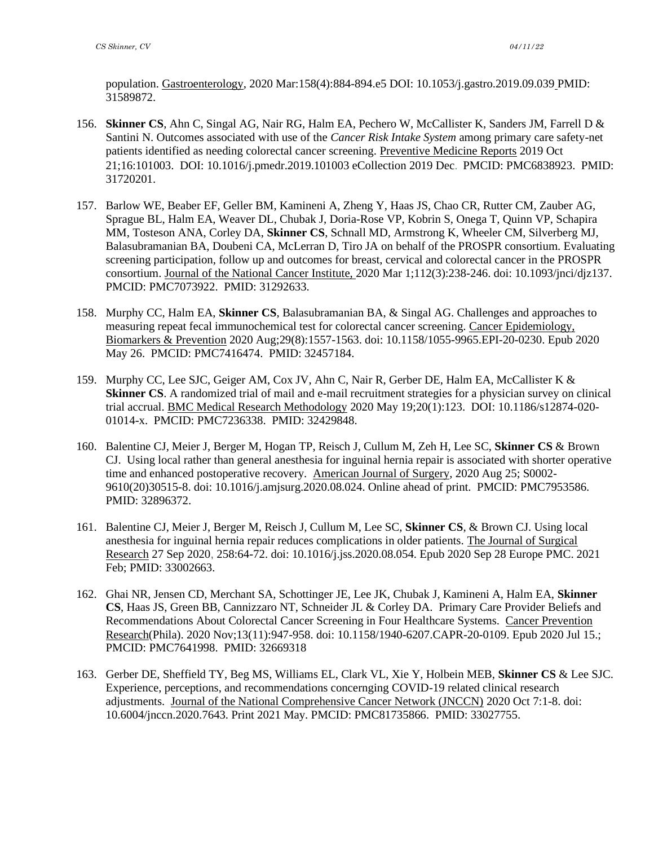population. Gastroenterology, 2020 Mar:158(4):884-894.e5 DOI: 10.1053/j.gastro.2019.09.039 PMID: 31589872.

- 156. **Skinner CS**, Ahn C, Singal AG, Nair RG, Halm EA, Pechero W, McCallister K, Sanders JM, Farrell D & Santini N. Outcomes associated with use of the *Cancer Risk Intake System* among primary care safety-net patients identified as needing colorectal cancer screening. Preventive Medicine Reports 2019 Oct 21;16:101003. DOI: 10.1016/j.pmedr.2019.101003 eCollection 2019 Dec. PMCID: PMC6838923. PMID: 31720201.
- 157. Barlow WE, Beaber EF, Geller BM, Kamineni A, Zheng Y, Haas JS, Chao CR, Rutter CM, Zauber AG, Sprague BL, Halm EA, Weaver DL, Chubak J, Doria-Rose VP, Kobrin S, Onega T, Quinn VP, Schapira MM, Tosteson ANA, Corley DA, **Skinner CS**, Schnall MD, Armstrong K, Wheeler CM, Silverberg MJ, Balasubramanian BA, Doubeni CA, McLerran D, Tiro JA on behalf of the PROSPR consortium. Evaluating screening participation, follow up and outcomes for breast, cervical and colorectal cancer in the PROSPR consortium. Journal of the National Cancer Institute, 2020 Mar 1;112(3):238-246. doi: 10.1093/jnci/djz137. PMCID: PMC7073922. PMID: 31292633.
- 158. Murphy CC, Halm EA, **Skinner CS**, Balasubramanian BA, & Singal AG. Challenges and approaches to measuring repeat fecal immunochemical test for colorectal cancer screening. Cancer Epidemiology, Biomarkers & Prevention 2020 Aug;29(8):1557-1563. doi: 10.1158/1055-9965.EPI-20-0230. Epub 2020 May 26. PMCID: PMC7416474. PMID: 32457184.
- 159. Murphy CC, Lee SJC, Geiger AM, Cox JV, Ahn C, Nair R, Gerber DE, Halm EA, McCallister K & **Skinner CS**. A randomized trial of mail and e-mail recruitment strategies for a physician survey on clinical trial accrual. BMC Medical Research Methodology 2020 May 19;20(1):123. DOI: 10.1186/s12874-020- 01014-x. PMCID: PMC7236338. PMID: 32429848.
- 160. Balentine CJ, Meier J, Berger M, Hogan TP, Reisch J, Cullum M, Zeh H, Lee SC, **Skinner CS** & Brown CJ. Using local rather than general anesthesia for inguinal hernia repair is associated with shorter operative time and enhanced postoperative recovery. American Journal of Surgery, 2020 Aug 25; S0002- 9610(20)30515-8. doi: 10.1016/j.amjsurg.2020.08.024. Online ahead of print. PMCID: PMC7953586. PMID: 32896372.
- 161. Balentine CJ, Meier J, Berger M, Reisch J, Cullum M, Lee SC, **Skinner CS**, & Brown CJ. Using local anesthesia for inguinal hernia repair reduces complications in older patients. The Journal of Surgical Research 27 Sep 2020, 258:64-72. doi: 10.1016/j.jss.2020.08.054. Epub 2020 Sep 28 Europe PMC. 2021 Feb; PMID: 33002663.
- 162. Ghai NR, Jensen CD, Merchant SA, Schottinger JE, Lee JK, Chubak J, Kamineni A, Halm EA, **Skinner CS**, Haas JS, Green BB, Cannizzaro NT, Schneider JL & Corley DA. Primary Care Provider Beliefs and Recommendations About Colorectal Cancer Screening in Four Healthcare Systems. Cancer Prevention Research(Phila). 2020 Nov;13(11):947-958. doi: 10.1158/1940-6207.CAPR-20-0109. Epub 2020 Jul 15.; PMCID: PMC7641998. PMID: 32669318
- 163. Gerber DE, Sheffield TY, Beg MS, Williams EL, Clark VL, Xie Y, Holbein MEB, **Skinner CS** & Lee SJC. Experience, perceptions, and recommendations concernging COVID-19 related clinical research adjustments. Journal of the National Comprehensive Cancer Network (JNCCN) 2020 Oct 7:1-8. doi: 10.6004/jnccn.2020.7643. Print 2021 May. PMCID: PMC81735866. PMID: 33027755.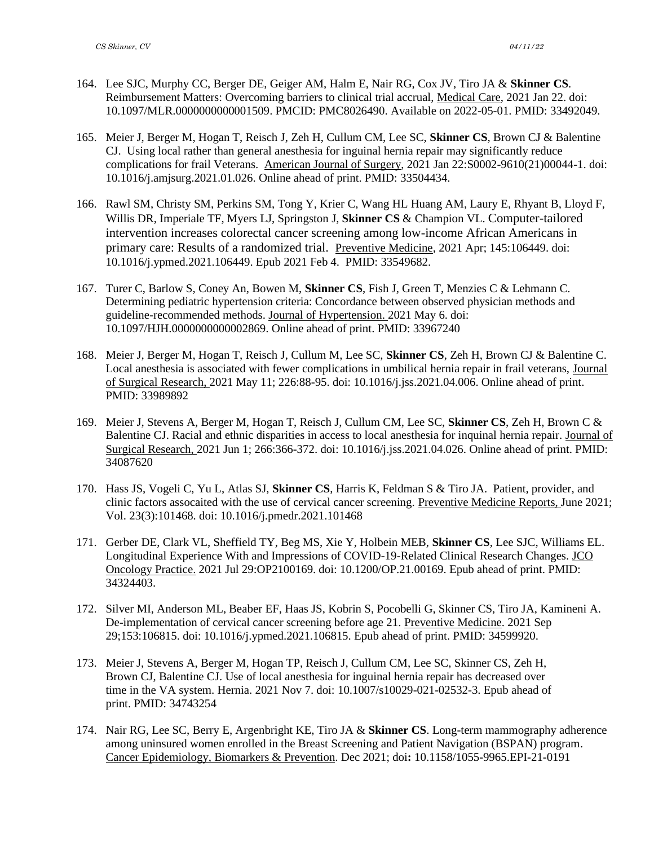- 164. Lee SJC, Murphy CC, Berger DE, Geiger AM, Halm E, Nair RG, Cox JV, Tiro JA & **Skinner CS**. Reimbursement Matters: Overcoming barriers to clinical trial accrual, Medical Care, 2021 Jan 22. doi: 10.1097/MLR.0000000000001509. PMCID: PMC8026490. Available on 2022-05-01. PMID: 33492049.
- 165. Meier J, Berger M, Hogan T, Reisch J, Zeh H, Cullum CM, Lee SC, **Skinner CS**, Brown CJ & Balentine CJ. Using local rather than general anesthesia for inguinal hernia repair may significantly reduce complications for frail Veterans. American Journal of Surgery, 2021 Jan 22:S0002-9610(21)00044-1. doi: 10.1016/j.amjsurg.2021.01.026. Online ahead of print. PMID: 33504434.
- 166. Rawl SM, Christy SM, Perkins SM, Tong Y, Krier C, Wang HL Huang AM, Laury E, Rhyant B, Lloyd F, Willis DR, Imperiale TF, Myers LJ, Springston J, **Skinner CS** & Champion VL. Computer-tailored intervention increases colorectal cancer screening among low-income African Americans in primary care: Results of a randomized trial. Preventive Medicine, 2021 Apr; 145:106449. doi: 10.1016/j.ypmed.2021.106449. Epub 2021 Feb 4. PMID: 33549682.
- 167. Turer C, Barlow S, Coney An, Bowen M, **Skinner CS**, Fish J, Green T, Menzies C & Lehmann C. Determining pediatric hypertension criteria: Concordance between observed physician methods and guideline-recommended methods. Journal of Hypertension. 2021 May 6. doi: 10.1097/HJH.0000000000002869. Online ahead of print. PMID: 33967240
- 168. Meier J, Berger M, Hogan T, Reisch J, Cullum M, Lee SC, **Skinner CS**, Zeh H, Brown CJ & Balentine C. Local anesthesia is associated with fewer complications in umbilical hernia repair in frail veterans, Journal of Surgical Research, 2021 May 11; 226:88-95. doi: 10.1016/j.jss.2021.04.006. Online ahead of print. PMID: 33989892
- 169. Meier J, Stevens A, Berger M, Hogan T, Reisch J, Cullum CM, Lee SC, **Skinner CS**, Zeh H, Brown C & Balentine CJ. Racial and ethnic disparities in access to local anesthesia for inquinal hernia repair. Journal of Surgical Research, 2021 Jun 1; 266:366-372. doi: 10.1016/j.jss.2021.04.026. Online ahead of print. PMID: 34087620
- 170. Hass JS, Vogeli C, Yu L, Atlas SJ, **Skinner CS**, Harris K, Feldman S & Tiro JA. Patient, provider, and clinic factors assocaited with the use of cervical cancer screening. Preventive Medicine Reports, June 2021; Vol. 23(3):101468. doi: 10.1016/j.pmedr.2021.101468
- 171. Gerber DE, Clark VL, Sheffield TY, Beg MS, Xie Y, Holbein MEB, **Skinner CS**, Lee SJC, Williams EL. Longitudinal Experience With and Impressions of COVID-19-Related Clinical Research Changes. JCO Oncology Practice. 2021 Jul 29:OP2100169. doi: 10.1200/OP.21.00169. Epub ahead of print. PMID: 34324403.
- 172. Silver MI, Anderson ML, Beaber EF, Haas JS, Kobrin S, Pocobelli G, Skinner CS, Tiro JA, Kamineni A. De-implementation of cervical cancer screening before age 21. Preventive Medicine. 2021 Sep 29;153:106815. doi: 10.1016/j.ypmed.2021.106815. Epub ahead of print. PMID: 34599920.
- 173. Meier J, Stevens A, Berger M, Hogan TP, Reisch J, Cullum CM, Lee SC, Skinner CS, Zeh H, Brown CJ, Balentine CJ. Use of local anesthesia for inguinal hernia repair has decreased over time in the VA system. Hernia. 2021 Nov 7. doi: 10.1007/s10029-021-02532-3. Epub ahead of print. PMID: 34743254
- 174. Nair RG, Lee SC, Berry E, Argenbright KE, Tiro JA & **Skinner CS**. Long-term mammography adherence among uninsured women enrolled in the Breast Screening and Patient Navigation (BSPAN) program. Cancer Epidemiology, Biomarkers & Prevention. Dec 2021; doi**:** 10.1158/1055-9965.EPI-21-0191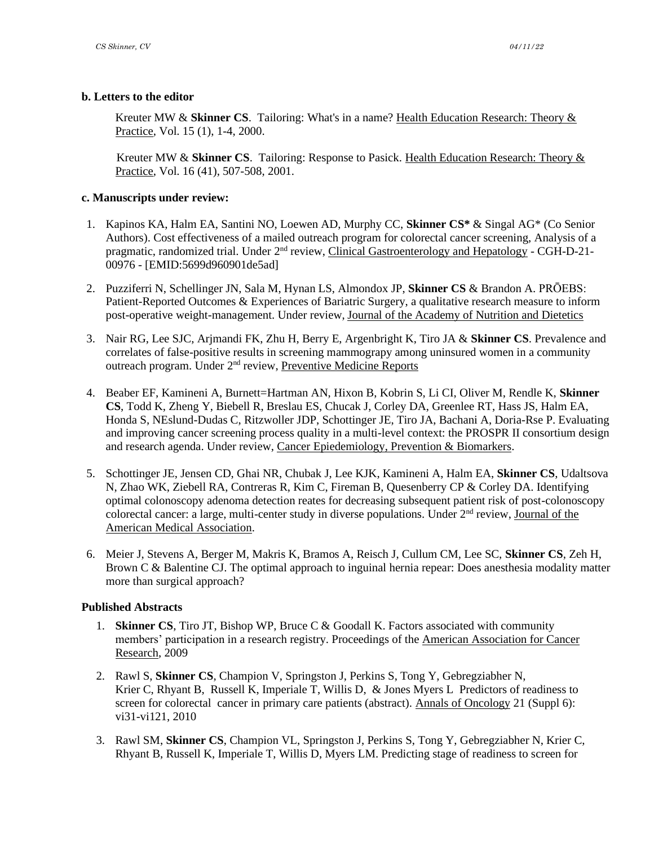# **b. Letters to the editor**

Kreuter MW & Skinner CS. Tailoring: What's in a name? Health Education Research: Theory & Practice, Vol. 15 (1), 1-4, 2000.

 Kreuter MW & **Skinner CS**. Tailoring: Response to Pasick. Health Education Research: Theory & Practice, Vol. 16 (41), 507-508, 2001.

# **c. Manuscripts under review:**

- 1. Kapinos KA, Halm EA, Santini NO, Loewen AD, Murphy CC, **Skinner CS\*** & Singal AG\* (Co Senior Authors). Cost effectiveness of a mailed outreach program for colorectal cancer screening, Analysis of a pragmatic, randomized trial. Under 2<sup>nd</sup> review, Clinical Gastroenterology and Hepatology - CGH-D-21-00976 - [EMID:5699d960901de5ad]
- 2. Puzziferri N, Schellinger JN, Sala M, Hynan LS, Almondox JP, **Skinner CS** & Brandon A. PRŌEBS: Patient-Reported Outcomes & Experiences of Bariatric Surgery, a qualitative research measure to inform post-operative weight-management. Under review, Journal of the Academy of Nutrition and Dietetics
- 3. Nair RG, Lee SJC, Arjmandi FK, Zhu H, Berry E, Argenbright K, Tiro JA & **Skinner CS**. Prevalence and correlates of false-positive results in screening mammograpy among uninsured women in a community outreach program. Under 2<sup>nd</sup> review, Preventive Medicine Reports
- 4. Beaber EF, Kamineni A, Burnett=Hartman AN, Hixon B, Kobrin S, Li CI, Oliver M, Rendle K, **Skinner CS**, Todd K, Zheng Y, Biebell R, Breslau ES, Chucak J, Corley DA, Greenlee RT, Hass JS, Halm EA, Honda S, NEslund-Dudas C, Ritzwoller JDP, Schottinger JE, Tiro JA, Bachani A, Doria-Rse P. Evaluating and improving cancer screening process quality in a multi-level context: the PROSPR II consortium design and research agenda. Under review, Cancer Epiedemiology, Prevention & Biomarkers.
- 5. Schottinger JE, Jensen CD, Ghai NR, Chubak J, Lee KJK, Kamineni A, Halm EA, **Skinner CS**, Udaltsova N, Zhao WK, Ziebell RA, Contreras R, Kim C, Fireman B, Quesenberry CP & Corley DA. Identifying optimal colonoscopy adenoma detection reates for decreasing subsequent patient risk of post-colonoscopy colorectal cancer: a large, multi-center study in diverse populations. Under  $2<sup>nd</sup>$  review, Journal of the American Medical Association.
- 6. Meier J, Stevens A, Berger M, Makris K, Bramos A, Reisch J, Cullum CM, Lee SC, **Skinner CS**, Zeh H, Brown C & Balentine CJ. The optimal approach to inguinal hernia repear: Does anesthesia modality matter more than surgical approach?

# **Published Abstracts**

- 1. **Skinner CS**, Tiro JT, Bishop WP, Bruce C & Goodall K. Factors associated with community members' participation in a research registry. Proceedings of the American Association for Cancer Research, 2009
- 2. Rawl S, **Skinner CS**, Champion V, Springston J, Perkins S, Tong Y, Gebregziabher N, Krier C, Rhyant B, Russell K, Imperiale T, Willis D, & Jones Myers L Predictors of readiness to screen for colorectal cancer in primary care patients (abstract). Annals of Oncology 21 (Suppl 6): vi31-vi121, 2010
- 3. Rawl SM, **Skinner CS**, Champion VL, Springston J, Perkins S, Tong Y, Gebregziabher N, Krier C, Rhyant B, Russell K, Imperiale T, Willis D, Myers LM. Predicting stage of readiness to screen for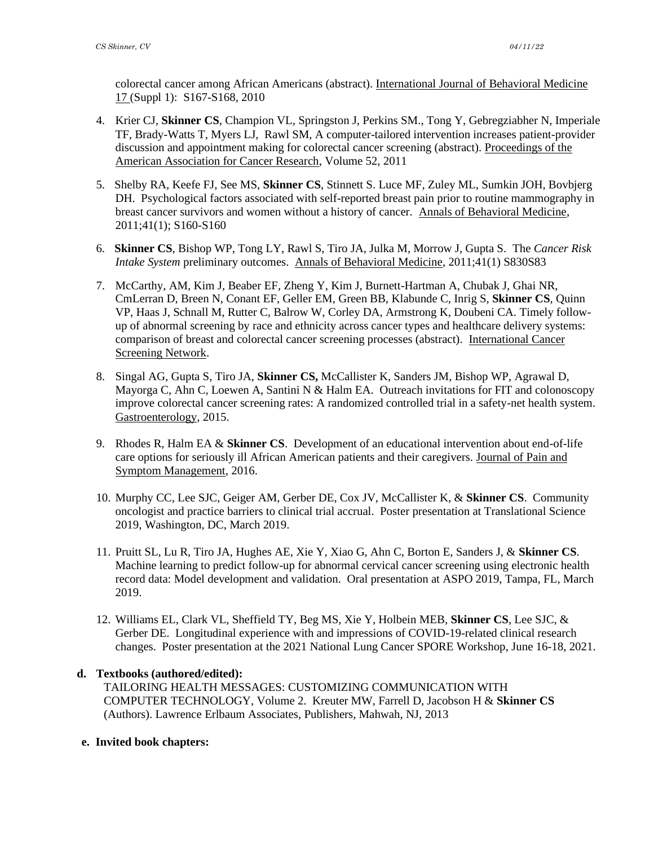colorectal cancer among African Americans (abstract). International Journal of Behavioral Medicine 17 (Suppl 1): S167-S168, 2010

- 4. Krier CJ, **Skinner CS**, Champion VL, Springston J, Perkins SM., Tong Y, Gebregziabher N, Imperiale TF, Brady-Watts T, Myers LJ, Rawl SM, A computer-tailored intervention increases patient-provider discussion and appointment making for colorectal cancer screening (abstract). Proceedings of the American Association for Cancer Research, Volume 52, 2011
- 5. Shelby RA, Keefe FJ, See MS, **Skinner CS**, Stinnett S. Luce MF, Zuley ML, Sumkin JOH, Bovbjerg DH. Psychological factors associated with self-reported breast pain prior to routine mammography in breast cancer survivors and women without a history of cancer. Annals of Behavioral Medicine, 2011;41(1); S160-S160
- 6. **Skinner CS**, Bishop WP, Tong LY, Rawl S, Tiro JA, Julka M, Morrow J, Gupta S. The *Cancer Risk Intake System* preliminary outcomes. Annals of Behavioral Medicine, 2011;41(1) S830S83
- 7. McCarthy, AM, Kim J, Beaber EF, Zheng Y, Kim J, Burnett-Hartman A, Chubak J, Ghai NR, CmLerran D, Breen N, Conant EF, Geller EM, Green BB, Klabunde C, Inrig S, **Skinner CS**, Quinn VP, Haas J, Schnall M, Rutter C, Balrow W, Corley DA, Armstrong K, Doubeni CA. Timely followup of abnormal screening by race and ethnicity across cancer types and healthcare delivery systems: comparison of breast and colorectal cancer screening processes (abstract). International Cancer Screening Network.
- 8. Singal AG, Gupta S, Tiro JA, **Skinner CS,** McCallister K, Sanders JM, Bishop WP, Agrawal D, Mayorga C, Ahn C, Loewen A, Santini N & Halm EA. Outreach invitations for FIT and colonoscopy improve colorectal cancer screening rates: A randomized controlled trial in a safety-net health system. Gastroenterology, 2015.
- 9. Rhodes R, Halm EA & **Skinner CS**. Development of an educational intervention about end-of-life care options for seriously ill African American patients and their caregivers. Journal of Pain and Symptom Management, 2016.
- 10. Murphy CC, Lee SJC, Geiger AM, Gerber DE, Cox JV, McCallister K, & **Skinner CS**. Community oncologist and practice barriers to clinical trial accrual. Poster presentation at Translational Science 2019, Washington, DC, March 2019.
- 11. Pruitt SL, Lu R, Tiro JA, Hughes AE, Xie Y, Xiao G, Ahn C, Borton E, Sanders J, & **Skinner CS**. Machine learning to predict follow-up for abnormal cervical cancer screening using electronic health record data: Model development and validation. Oral presentation at ASPO 2019, Tampa, FL, March 2019.
- 12. Williams EL, Clark VL, Sheffield TY, Beg MS, Xie Y, Holbein MEB, **Skinner CS**, Lee SJC, & Gerber DE. Longitudinal experience with and impressions of COVID-19-related clinical research changes. Poster presentation at the 2021 National Lung Cancer SPORE Workshop, June 16-18, 2021.

#### **d. Textbooks (authored/edited):**

TAILORING HEALTH MESSAGES: CUSTOMIZING COMMUNICATION WITH COMPUTER TECHNOLOGY, Volume 2. Kreuter MW, Farrell D, Jacobson H & **Skinner CS** (Authors). Lawrence Erlbaum Associates, Publishers, Mahwah, NJ, 2013

#### **e. Invited book chapters:**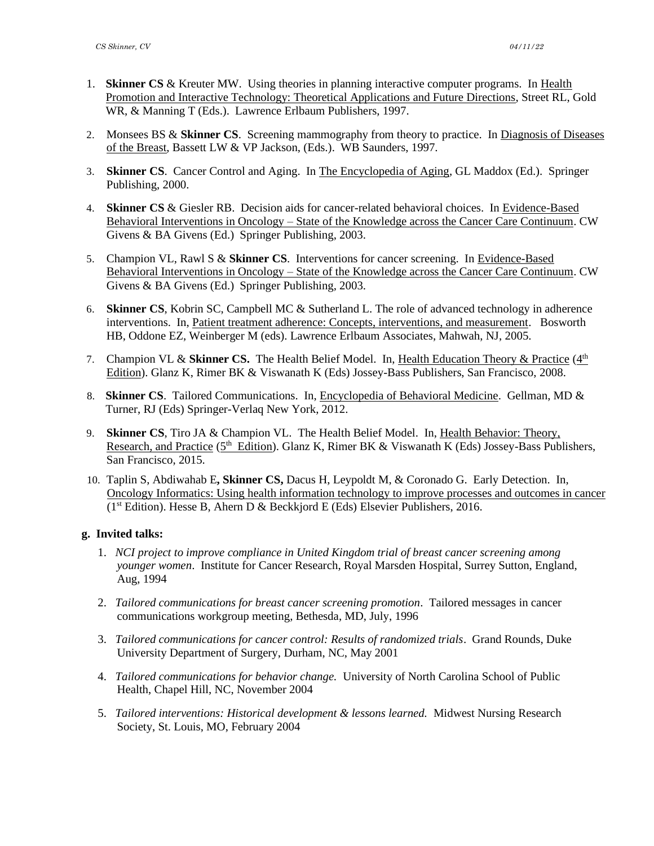- 1. **Skinner CS** & Kreuter MW. Using theories in planning interactive computer programs. In Health Promotion and Interactive Technology: Theoretical Applications and Future Directions, Street RL, Gold WR, & Manning T (Eds.). Lawrence Erlbaum Publishers, 1997.
- 2. Monsees BS & **Skinner CS**. Screening mammography from theory to practice. In Diagnosis of Diseases of the Breast, Bassett LW & VP Jackson, (Eds.). WB Saunders, 1997.
- 3. **Skinner CS**. Cancer Control and Aging. In The Encyclopedia of Aging, GL Maddox (Ed.). Springer Publishing, 2000.
- 4. **Skinner CS** & Giesler RB. Decision aids for cancer-related behavioral choices. In Evidence-Based Behavioral Interventions in Oncology – State of the Knowledge across the Cancer Care Continuum. CW Givens & BA Givens (Ed.) Springer Publishing, 2003.
- 5. Champion VL, Rawl S & **Skinner CS**. Interventions for cancer screening. In Evidence-Based Behavioral Interventions in Oncology – State of the Knowledge across the Cancer Care Continuum. CW Givens & BA Givens (Ed.) Springer Publishing, 2003.
- 6. **Skinner CS**, Kobrin SC, Campbell MC & Sutherland L. The role of advanced technology in adherence interventions. In, Patient treatment adherence: Concepts, interventions, and measurement. Bosworth HB, Oddone EZ, Weinberger M (eds). Lawrence Erlbaum Associates, Mahwah, NJ, 2005.
- 7. Champion VL & Skinner CS. The Health Belief Model. In, Health Education Theory & Practice (4<sup>th</sup> Edition). Glanz K, Rimer BK & Viswanath K (Eds) Jossey-Bass Publishers, San Francisco, 2008.
- 8. **Skinner CS**. Tailored Communications. In, Encyclopedia of Behavioral Medicine. Gellman, MD & Turner, RJ (Eds) Springer-Verlaq New York, 2012.
- 9. **Skinner CS**, Tiro JA & Champion VL.The Health Belief Model. In, Health Behavior: Theory, Research, and Practice (5<sup>th</sup> Edition). Glanz K, Rimer BK & Viswanath K (Eds) Jossey-Bass Publishers, San Francisco, 2015.
- 10. Taplin S, Abdiwahab E**, Skinner CS,** Dacus H, Leypoldt M, & Coronado G. Early Detection. In, Oncology Informatics: Using health information technology to improve processes and outcomes in cancer  $(1<sup>st</sup> Edition)$ . Hesse B, Ahern D & Beckkjord E (Eds) Elsevier Publishers, 2016.

# **g. Invited talks:**

- 1. *NCI project to improve compliance in United Kingdom trial of breast cancer screening among younger women*. Institute for Cancer Research, Royal Marsden Hospital, Surrey Sutton, England, Aug, 1994
- 2. *Tailored communications for breast cancer screening promotion*. Tailored messages in cancer communications workgroup meeting, Bethesda, MD, July, 1996
- 3. *Tailored communications for cancer control: Results of randomized trials*. Grand Rounds, Duke University Department of Surgery, Durham, NC, May 2001
- 4. *Tailored communications for behavior change.* University of North Carolina School of Public Health, Chapel Hill, NC, November 2004
- 5. *Tailored interventions: Historical development & lessons learned.* Midwest Nursing Research Society, St. Louis, MO, February 2004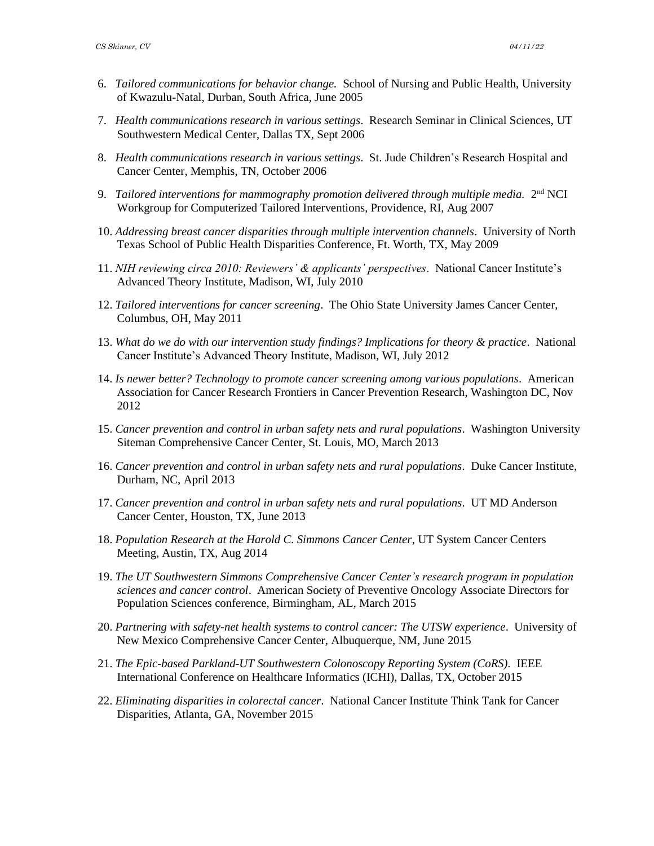- 6. *Tailored communications for behavior change.* School of Nursing and Public Health, University of Kwazulu-Natal, Durban, South Africa, June 2005
- 7. *Health communications research in various settings*. Research Seminar in Clinical Sciences, UT Southwestern Medical Center, Dallas TX, Sept 2006
- 8. *Health communications research in various settings*. St. Jude Children's Research Hospital and Cancer Center, Memphis, TN, October 2006
- 9. Tailored interventions for mammography promotion delivered through multiple media. 2<sup>nd</sup> NCI Workgroup for Computerized Tailored Interventions, Providence, RI, Aug 2007
- 10. *Addressing breast cancer disparities through multiple intervention channels*. University of North Texas School of Public Health Disparities Conference, Ft. Worth, TX, May 2009
- 11. *NIH reviewing circa 2010: Reviewers' & applicants' perspectives*. National Cancer Institute's Advanced Theory Institute, Madison, WI, July 2010
- 12. *Tailored interventions for cancer screening*. The Ohio State University James Cancer Center, Columbus, OH, May 2011
- 13. *What do we do with our intervention study findings? Implications for theory & practice*. National Cancer Institute's Advanced Theory Institute, Madison, WI, July 2012
- 14. *Is newer better? Technology to promote cancer screening among various populations*. American Association for Cancer Research Frontiers in Cancer Prevention Research, Washington DC, Nov 2012
- 15. *Cancer prevention and control in urban safety nets and rural populations*. Washington University Siteman Comprehensive Cancer Center, St. Louis, MO, March 2013
- 16. *Cancer prevention and control in urban safety nets and rural populations*. Duke Cancer Institute, Durham, NC, April 2013
- 17. *Cancer prevention and control in urban safety nets and rural populations*. UT MD Anderson Cancer Center, Houston, TX, June 2013
- 18. *Population Research at the Harold C. Simmons Cancer Center*, UT System Cancer Centers Meeting, Austin, TX, Aug 2014
- 19. *The UT Southwestern Simmons Comprehensive Cancer Center's research program in population sciences and cancer control*. American Society of Preventive Oncology Associate Directors for Population Sciences conference, Birmingham, AL, March 2015
- 20. *Partnering with safety-net health systems to control cancer: The UTSW experience*. University of New Mexico Comprehensive Cancer Center, Albuquerque, NM, June 2015
- 21. The Epic-based Parkland-UT Southwestern Colonoscopy Reporting System (CoRS). IEEE International Conference on Healthcare Informatics (ICHI), Dallas, TX, October 2015
- 22. *Eliminating disparities in colorectal cancer*. National Cancer Institute Think Tank for Cancer Disparities, Atlanta, GA, November 2015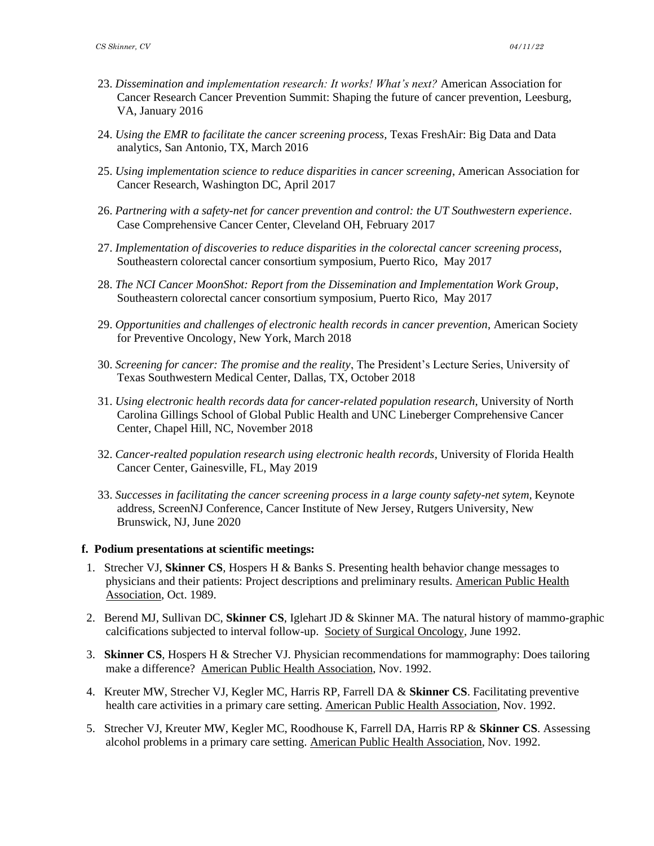- 23. *Dissemination and implementation research: It works! What's next?* American Association for Cancer Research Cancer Prevention Summit: Shaping the future of cancer prevention, Leesburg, VA, January 2016
- 24. *Using the EMR to facilitate the cancer screening process,* Texas FreshAir: Big Data and Data analytics, San Antonio, TX, March 2016
- 25. *Using implementation science to reduce disparities in cancer screening*, American Association for Cancer Research, Washington DC, April 2017
- 26. *Partnering with a safety-net for cancer prevention and control: the UT Southwestern experience*. Case Comprehensive Cancer Center, Cleveland OH, February 2017
- 27. *Implementation of discoveries to reduce disparities in the colorectal cancer screening process*, Southeastern colorectal cancer consortium symposium, Puerto Rico, May 2017
- 28. *The NCI Cancer MoonShot: Report from the Dissemination and Implementation Work Group*, Southeastern colorectal cancer consortium symposium, Puerto Rico, May 2017
- 29. *Opportunities and challenges of electronic health records in cancer prevention*, American Society for Preventive Oncology, New York, March 2018
- 30. *Screening for cancer: The promise and the reality*, The President's Lecture Series, University of Texas Southwestern Medical Center, Dallas, TX, October 2018
- 31. *Using electronic health records data for cancer-related population research*, University of North Carolina Gillings School of Global Public Health and UNC Lineberger Comprehensive Cancer Center, Chapel Hill, NC, November 2018
- 32. *Cancer-realted population research using electronic health records*, University of Florida Health Cancer Center, Gainesville, FL, May 2019
- 33. *Successes in facilitating the cancer screening process in a large county safety-net sytem,* Keynote address, ScreenNJ Conference, Cancer Institute of New Jersey, Rutgers University, New Brunswick, NJ, June 2020

#### **f. Podium presentations at scientific meetings:**

- 1. Strecher VJ, **Skinner CS**, Hospers H & Banks S. Presenting health behavior change messages to physicians and their patients: Project descriptions and preliminary results. American Public Health Association, Oct. 1989.
- 2. Berend MJ, Sullivan DC, **Skinner CS**, Iglehart JD & Skinner MA. The natural history of mammo-graphic calcifications subjected to interval follow-up. Society of Surgical Oncology, June 1992.
- 3. **Skinner CS**, Hospers H & Strecher VJ. Physician recommendations for mammography: Does tailoring make a difference? American Public Health Association, Nov. 1992.
- 4. Kreuter MW, Strecher VJ, Kegler MC, Harris RP, Farrell DA & **Skinner CS**. Facilitating preventive health care activities in a primary care setting. American Public Health Association, Nov. 1992.
- 5. Strecher VJ, Kreuter MW, Kegler MC, Roodhouse K, Farrell DA, Harris RP & **Skinner CS**. Assessing alcohol problems in a primary care setting. American Public Health Association, Nov. 1992.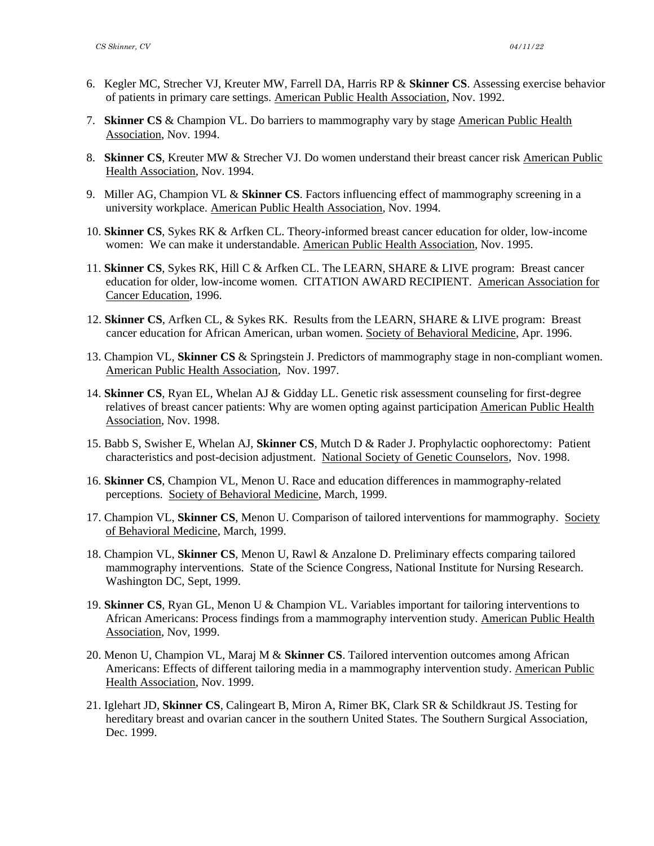- 6. Kegler MC, Strecher VJ, Kreuter MW, Farrell DA, Harris RP & **Skinner CS**. Assessing exercise behavior of patients in primary care settings. American Public Health Association, Nov. 1992.
- 7. **Skinner CS** & Champion VL. Do barriers to mammography vary by stage American Public Health Association, Nov. 1994.
- 8. **Skinner CS**, Kreuter MW & Strecher VJ. Do women understand their breast cancer risk American Public Health Association, Nov. 1994.
- 9. Miller AG, Champion VL & **Skinner CS**. Factors influencing effect of mammography screening in a university workplace. American Public Health Association, Nov. 1994.
- 10. **Skinner CS**, Sykes RK & Arfken CL. Theory-informed breast cancer education for older, low-income women: We can make it understandable. American Public Health Association, Nov. 1995.
- 11. **Skinner CS**, Sykes RK, Hill C & Arfken CL. The LEARN, SHARE & LIVE program: Breast cancer education for older, low-income women. CITATION AWARD RECIPIENT. American Association for Cancer Education, 1996.
- 12. **Skinner CS**, Arfken CL, & Sykes RK. Results from the LEARN, SHARE & LIVE program: Breast cancer education for African American, urban women. Society of Behavioral Medicine, Apr. 1996.
- 13. Champion VL, **Skinner CS** & Springstein J. Predictors of mammography stage in non-compliant women. American Public Health Association, Nov. 1997.
- 14. **Skinner CS**, Ryan EL, Whelan AJ & Gidday LL. Genetic risk assessment counseling for first-degree relatives of breast cancer patients: Why are women opting against participation American Public Health Association, Nov. 1998.
- 15. Babb S, Swisher E, Whelan AJ, **Skinner CS**, Mutch D & Rader J. Prophylactic oophorectomy: Patient characteristics and post-decision adjustment. National Society of Genetic Counselors, Nov. 1998.
- 16. **Skinner CS**, Champion VL, Menon U. Race and education differences in mammography-related perceptions. Society of Behavioral Medicine, March, 1999.
- 17. Champion VL, **Skinner CS**, Menon U. Comparison of tailored interventions for mammography. Society of Behavioral Medicine, March, 1999.
- 18. Champion VL, **Skinner CS**, Menon U, Rawl & Anzalone D. Preliminary effects comparing tailored mammography interventions. State of the Science Congress, National Institute for Nursing Research. Washington DC, Sept, 1999.
- 19. **Skinner CS**, Ryan GL, Menon U & Champion VL. Variables important for tailoring interventions to African Americans: Process findings from a mammography intervention study. American Public Health Association, Nov, 1999.
- 20. Menon U, Champion VL, Maraj M & **Skinner CS**. Tailored intervention outcomes among African Americans: Effects of different tailoring media in a mammography intervention study. American Public Health Association, Nov. 1999.
- 21. Iglehart JD, **Skinner CS**, Calingeart B, Miron A, Rimer BK, Clark SR & Schildkraut JS. Testing for hereditary breast and ovarian cancer in the southern United States. The Southern Surgical Association, Dec. 1999.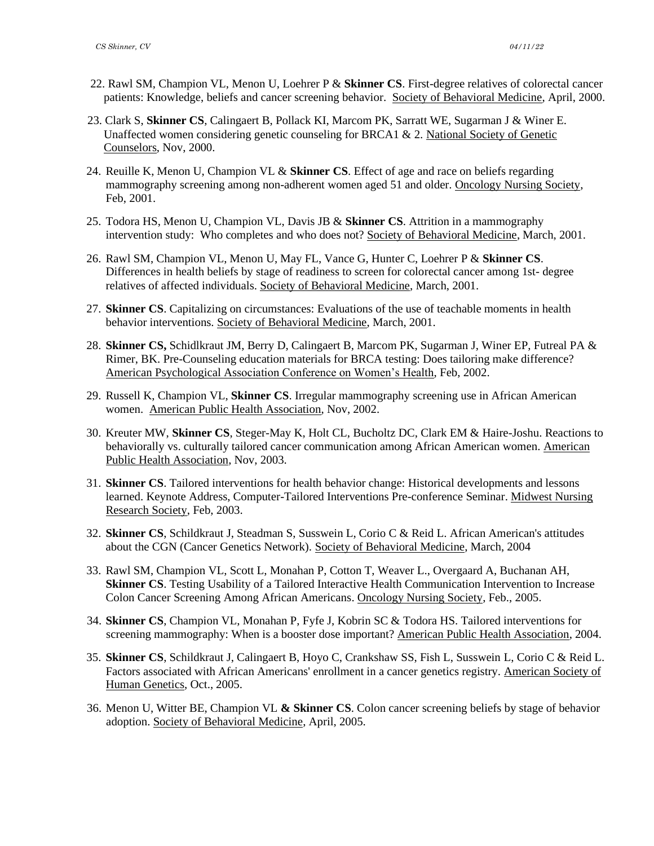- 22. Rawl SM, Champion VL, Menon U, Loehrer P & **Skinner CS**. First-degree relatives of colorectal cancer patients: Knowledge, beliefs and cancer screening behavior. Society of Behavioral Medicine, April, 2000.
- 23. Clark S, **Skinner CS**, Calingaert B, Pollack KI, Marcom PK, Sarratt WE, Sugarman J & Winer E. Unaffected women considering genetic counseling for BRCA1 & 2. National Society of Genetic Counselors, Nov, 2000.
- 24. Reuille K, Menon U, Champion VL & **Skinner CS**. Effect of age and race on beliefs regarding mammography screening among non-adherent women aged 51 and older. Oncology Nursing Society, Feb, 2001.
- 25. Todora HS, Menon U, Champion VL, Davis JB & **Skinner CS**. Attrition in a mammography intervention study: Who completes and who does not? Society of Behavioral Medicine, March, 2001.
- 26. Rawl SM, Champion VL, Menon U, May FL, Vance G, Hunter C, Loehrer P & **Skinner CS**. Differences in health beliefs by stage of readiness to screen for colorectal cancer among 1st- degree relatives of affected individuals. Society of Behavioral Medicine, March, 2001.
- 27. **Skinner CS**. Capitalizing on circumstances: Evaluations of the use of teachable moments in health behavior interventions. Society of Behavioral Medicine, March, 2001.
- 28. **Skinner CS,** Schidlkraut JM, Berry D, Calingaert B, Marcom PK, Sugarman J, Winer EP, Futreal PA & Rimer, BK. Pre-Counseling education materials for BRCA testing: Does tailoring make difference? American Psychological Association Conference on Women's Health, Feb, 2002.
- 29. Russell K, Champion VL, **Skinner CS**. Irregular mammography screening use in African American women. American Public Health Association, Nov, 2002.
- 30. Kreuter MW, **Skinner CS**, Steger-May K, Holt CL, Bucholtz DC, Clark EM & Haire-Joshu. Reactions to behaviorally vs. culturally tailored cancer communication among African American women. American Public Health Association, Nov, 2003.
- 31. **Skinner CS**. Tailored interventions for health behavior change: Historical developments and lessons learned. Keynote Address, Computer-Tailored Interventions Pre-conference Seminar. Midwest Nursing Research Society, Feb, 2003.
- 32. **Skinner CS**, Schildkraut J, Steadman S, Susswein L, Corio C & Reid L. African American's attitudes about the CGN (Cancer Genetics Network). Society of Behavioral Medicine, March, 2004
- 33. Rawl SM, Champion VL, Scott L, Monahan P, Cotton T, Weaver L., Overgaard A, Buchanan AH, **Skinner CS**. Testing Usability of a Tailored Interactive Health Communication Intervention to Increase Colon Cancer Screening Among African Americans. Oncology Nursing Society, Feb., 2005.
- 34. **Skinner CS**, Champion VL, Monahan P, Fyfe J, Kobrin SC & Todora HS. Tailored interventions for screening mammography: When is a booster dose important? American Public Health Association, 2004.
- 35. **Skinner CS**, Schildkraut J, Calingaert B, Hoyo C, Crankshaw SS, Fish L, Susswein L, Corio C & Reid L. Factors associated with African Americans' enrollment in a cancer genetics registry. American Society of Human Genetics, Oct., 2005.
- 36. Menon U, Witter BE, Champion VL **& Skinner CS**. Colon cancer screening beliefs by stage of behavior adoption. Society of Behavioral Medicine, April, 2005.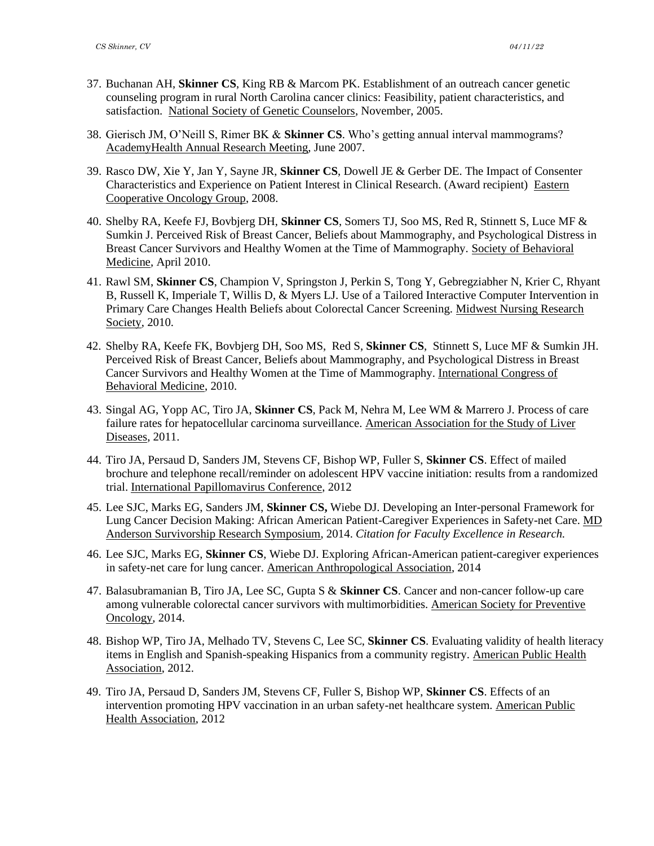- 37. Buchanan AH, **Skinner CS**, King RB & Marcom PK. Establishment of an outreach cancer genetic counseling program in rural North Carolina cancer clinics: Feasibility, patient characteristics, and satisfaction. National Society of Genetic Counselors, November, 2005.
- 38. Gierisch JM, O'Neill S, Rimer BK & **Skinner CS**. Who's getting annual interval mammograms? AcademyHealth Annual Research Meeting, June 2007.
- 39. Rasco DW, Xie Y, Jan Y, Sayne JR, **Skinner CS**, Dowell JE & Gerber DE. The Impact of Consenter Characteristics and Experience on Patient Interest in Clinical Research. (Award recipient) Eastern Cooperative Oncology Group, 2008.
- 40. Shelby RA, Keefe FJ, Bovbjerg DH, **Skinner CS**, Somers TJ, Soo MS, Red R, Stinnett S, Luce MF & Sumkin J. Perceived Risk of Breast Cancer, Beliefs about Mammography, and Psychological Distress in Breast Cancer Survivors and Healthy Women at the Time of Mammography. Society of Behavioral Medicine, April 2010.
- 41. Rawl SM, **Skinner CS**, Champion V, Springston J, Perkin S, Tong Y, Gebregziabher N, Krier C, Rhyant B, Russell K, Imperiale T, Willis D, & Myers LJ. Use of a Tailored Interactive Computer Intervention in Primary Care Changes Health Beliefs about Colorectal Cancer Screening. Midwest Nursing Research Society, 2010.
- 42. Shelby RA, Keefe FK, Bovbjerg DH, Soo MS, Red S, **Skinner CS**, Stinnett S, Luce MF & Sumkin JH. Perceived Risk of Breast Cancer, Beliefs about Mammography, and Psychological Distress in Breast Cancer Survivors and Healthy Women at the Time of Mammography. International Congress of Behavioral Medicine, 2010.
- 43. Singal AG, Yopp AC, Tiro JA, **Skinner CS**, Pack M, Nehra M, Lee WM & Marrero J. Process of care failure rates for hepatocellular carcinoma surveillance. American Association for the Study of Liver Diseases, 2011.
- 44. Tiro JA, Persaud D, Sanders JM, Stevens CF, Bishop WP, Fuller S, **Skinner CS**. Effect of mailed brochure and telephone recall/reminder on adolescent HPV vaccine initiation: results from a randomized trial. International Papillomavirus Conference, 2012
- 45. Lee SJC, Marks EG, Sanders JM, **Skinner CS,** Wiebe DJ. Developing an Inter-personal Framework for Lung Cancer Decision Making: African American Patient-Caregiver Experiences in Safety-net Care. MD Anderson Survivorship Research Symposium, 2014. *Citation for Faculty Excellence in Research.*
- 46. Lee SJC, Marks EG, **Skinner CS**, Wiebe DJ. Exploring African-American patient-caregiver experiences in safety-net care for lung cancer. American Anthropological Association, 2014
- 47. Balasubramanian B, Tiro JA, Lee SC, Gupta S & **Skinner CS**. Cancer and non-cancer follow-up care among vulnerable colorectal cancer survivors with multimorbidities. American Society for Preventive Oncology, 2014.
- 48. Bishop WP, Tiro JA, Melhado TV, Stevens C, Lee SC, **Skinner CS**. Evaluating validity of health literacy items in English and Spanish-speaking Hispanics from a community registry. American Public Health Association, 2012.
- 49. Tiro JA, Persaud D, Sanders JM, Stevens CF, Fuller S, Bishop WP, **Skinner CS**. Effects of an intervention promoting HPV vaccination in an urban safety-net healthcare system*.* American Public Health Association, 2012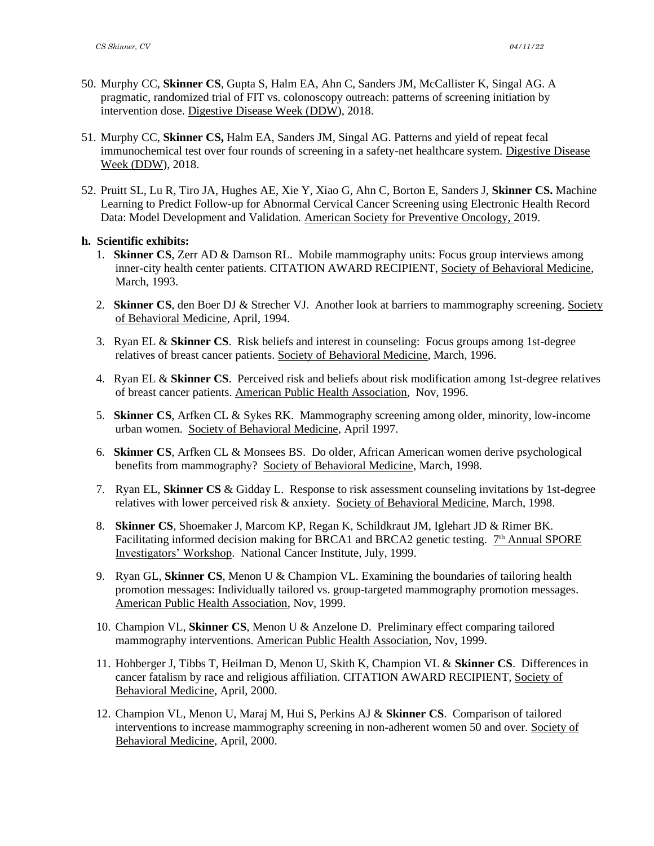- 50. Murphy CC, **Skinner CS**, Gupta S, Halm EA, Ahn C, Sanders JM, McCallister K, Singal AG. A pragmatic, randomized trial of FIT vs. colonoscopy outreach: patterns of screening initiation by intervention dose. Digestive Disease Week (DDW), 2018.
- 51. Murphy CC, **Skinner CS,** Halm EA, Sanders JM, Singal AG. Patterns and yield of repeat fecal immunochemical test over four rounds of screening in a safety-net healthcare system*.* Digestive Disease Week (DDW), 2018.
- 52. Pruitt SL, Lu R, Tiro JA, Hughes AE, Xie Y, Xiao G, Ahn C, Borton E, Sanders J, **Skinner CS.** Machine Learning to Predict Follow-up for Abnormal Cervical Cancer Screening using Electronic Health Record Data: Model Development and Validation*.* American Society for Preventive Oncology, 2019.

# **h. Scientific exhibits:**

- 1. **Skinner CS**, Zerr AD & Damson RL. Mobile mammography units: Focus group interviews among inner-city health center patients. CITATION AWARD RECIPIENT, Society of Behavioral Medicine, March, 1993.
- 2. **Skinner CS**, den Boer DJ & Strecher VJ. Another look at barriers to mammography screening. Society of Behavioral Medicine, April, 1994.
- 3. Ryan EL & **Skinner CS**. Risk beliefs and interest in counseling: Focus groups among 1st-degree relatives of breast cancer patients. Society of Behavioral Medicine, March, 1996.
- 4. Ryan EL & **Skinner CS**. Perceived risk and beliefs about risk modification among 1st-degree relatives of breast cancer patients. American Public Health Association, Nov, 1996.
- 5. **Skinner CS**, Arfken CL & Sykes RK. Mammography screening among older, minority, low-income urban women. Society of Behavioral Medicine, April 1997.
- 6. **Skinner CS**, Arfken CL & Monsees BS. Do older, African American women derive psychological benefits from mammography? Society of Behavioral Medicine, March, 1998.
- 7. Ryan EL, **Skinner CS** & Gidday L. Response to risk assessment counseling invitations by 1st-degree relatives with lower perceived risk & anxiety. Society of Behavioral Medicine, March, 1998.
- 8. **Skinner CS**, Shoemaker J, Marcom KP, Regan K, Schildkraut JM, Iglehart JD & Rimer BK. Facilitating informed decision making for BRCA1 and BRCA2 genetic testing.  $7<sup>th</sup>$  Annual SPORE Investigators' Workshop. National Cancer Institute, July, 1999.
- 9. Ryan GL, **Skinner CS**, Menon U & Champion VL. Examining the boundaries of tailoring health promotion messages: Individually tailored vs. group-targeted mammography promotion messages. American Public Health Association, Nov, 1999.
- 10. Champion VL, **Skinner CS**, Menon U & Anzelone D. Preliminary effect comparing tailored mammography interventions. American Public Health Association, Nov, 1999.
- 11. Hohberger J, Tibbs T, Heilman D, Menon U, Skith K, Champion VL & **Skinner CS**. Differences in cancer fatalism by race and religious affiliation. CITATION AWARD RECIPIENT, Society of Behavioral Medicine, April, 2000.
- 12. Champion VL, Menon U, Maraj M, Hui S, Perkins AJ & **Skinner CS**. Comparison of tailored interventions to increase mammography screening in non-adherent women 50 and over. Society of Behavioral Medicine, April, 2000.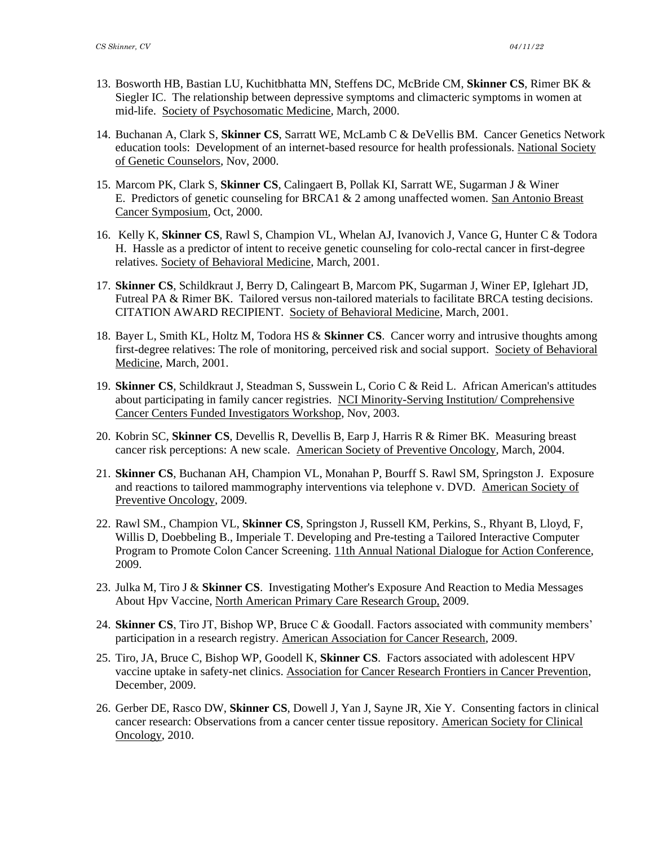- 13. Bosworth HB, Bastian LU, Kuchitbhatta MN, Steffens DC, McBride CM, **Skinner CS**, Rimer BK & Siegler IC. The relationship between depressive symptoms and climacteric symptoms in women at mid-life. Society of Psychosomatic Medicine, March, 2000.
- 14. Buchanan A, Clark S, **Skinner CS**, Sarratt WE, McLamb C & DeVellis BM. Cancer Genetics Network education tools: Development of an internet-based resource for health professionals. National Society of Genetic Counselors, Nov, 2000.
- 15. Marcom PK, Clark S, **Skinner CS**, Calingaert B, Pollak KI, Sarratt WE, Sugarman J & Winer E. Predictors of genetic counseling for BRCA1 & 2 among unaffected women. San Antonio Breast Cancer Symposium, Oct, 2000.
- 16. Kelly K, **Skinner CS**, Rawl S, Champion VL, Whelan AJ, Ivanovich J, Vance G, Hunter C & Todora H. Hassle as a predictor of intent to receive genetic counseling for colo-rectal cancer in first-degree relatives. Society of Behavioral Medicine, March, 2001.
- 17. **Skinner CS**, Schildkraut J, Berry D, Calingeart B, Marcom PK, Sugarman J, Winer EP, Iglehart JD, Futreal PA & Rimer BK. Tailored versus non-tailored materials to facilitate BRCA testing decisions. CITATION AWARD RECIPIENT. Society of Behavioral Medicine, March, 2001.
- 18. Bayer L, Smith KL, Holtz M, Todora HS & **Skinner CS**. Cancer worry and intrusive thoughts among first-degree relatives: The role of monitoring, perceived risk and social support. Society of Behavioral Medicine, March, 2001.
- 19. **Skinner CS**, Schildkraut J, Steadman S, Susswein L, Corio C & Reid L. African American's attitudes about participating in family cancer registries. NCI Minority-Serving Institution/ Comprehensive Cancer Centers Funded Investigators Workshop, Nov, 2003.
- 20. Kobrin SC, **Skinner CS**, Devellis R, Devellis B, Earp J, Harris R & Rimer BK. Measuring breast cancer risk perceptions: A new scale. American Society of Preventive Oncology, March, 2004.
- 21. **Skinner CS**, Buchanan AH, Champion VL, Monahan P, Bourff S. Rawl SM, Springston J. Exposure and reactions to tailored mammography interventions via telephone v. DVD. American Society of Preventive Oncology, 2009.
- 22. Rawl SM., Champion VL, **Skinner CS**, Springston J, Russell KM, Perkins, S., Rhyant B, Lloyd, F, Willis D, Doebbeling B., Imperiale T. Developing and Pre-testing a Tailored Interactive Computer Program to Promote Colon Cancer Screening. 11th Annual National Dialogue for Action Conference, 2009.
- 23. Julka M, Tiro J & **Skinner CS**. Investigating Mother's Exposure And Reaction to Media Messages About Hpv Vaccine, North American Primary Care Research Group, 2009.
- 24. **Skinner CS**, Tiro JT, Bishop WP, Bruce C & Goodall. Factors associated with community members' participation in a research registry. American Association for Cancer Research, 2009.
- 25. Tiro, JA, Bruce C, Bishop WP, Goodell K, **Skinner CS**. Factors associated with adolescent HPV vaccine uptake in safety-net clinics. Association for Cancer Research Frontiers in Cancer Prevention, December, 2009.
- 26. Gerber DE, Rasco DW, **Skinner CS**, Dowell J, Yan J, Sayne JR, Xie Y. Consenting factors in clinical cancer research: Observations from a cancer center tissue repository. American Society for Clinical Oncology, 2010.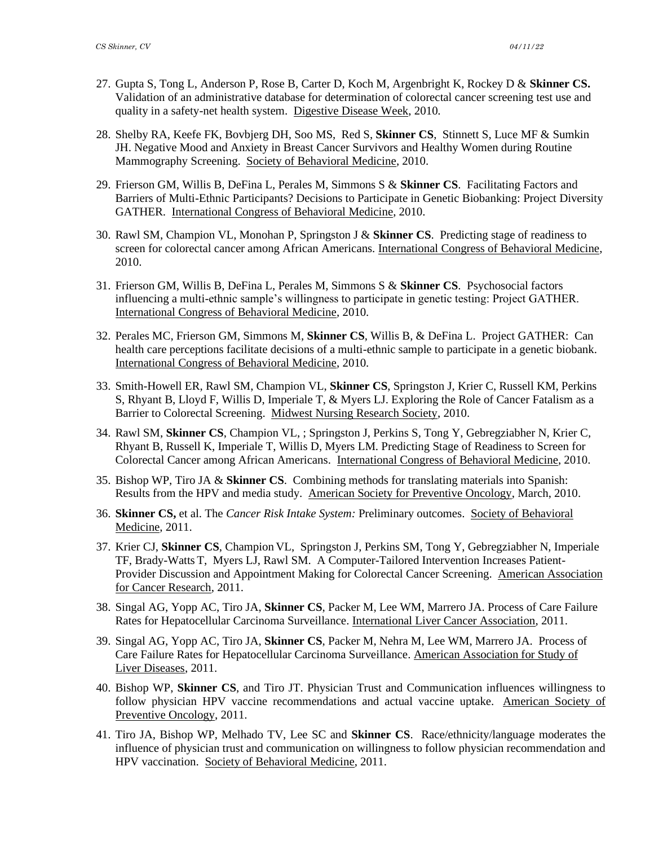- 27. Gupta S, Tong L, Anderson P, Rose B, Carter D, Koch M, Argenbright K, Rockey D & **Skinner CS.** Validation of an administrative database for determination of colorectal cancer screening test use and quality in a safety-net health system. Digestive Disease Week, 2010.
- 28. Shelby RA, Keefe FK, Bovbjerg DH, Soo MS, Red S, **Skinner CS**, Stinnett S, Luce MF & Sumkin JH. Negative Mood and Anxiety in Breast Cancer Survivors and Healthy Women during Routine Mammography Screening. Society of Behavioral Medicine, 2010.
- 29. Frierson GM, Willis B, DeFina L, Perales M, Simmons S & **Skinner CS**. Facilitating Factors and Barriers of Multi-Ethnic Participants? Decisions to Participate in Genetic Biobanking: Project Diversity GATHER. International Congress of Behavioral Medicine, 2010.
- 30. Rawl SM, Champion VL, Monohan P, Springston J & **Skinner CS**. Predicting stage of readiness to screen for colorectal cancer among African Americans. International Congress of Behavioral Medicine, 2010.
- 31. Frierson GM, Willis B, DeFina L, Perales M, Simmons S & **Skinner CS**. Psychosocial factors influencing a multi-ethnic sample's willingness to participate in genetic testing: Project GATHER. International Congress of Behavioral Medicine, 2010.
- 32. Perales MC, Frierson GM, Simmons M, **Skinner CS**, Willis B, & DeFina L. Project GATHER: Can health care perceptions facilitate decisions of a multi-ethnic sample to participate in a genetic biobank. International Congress of Behavioral Medicine, 2010.
- 33. Smith-Howell ER, Rawl SM, Champion VL, **Skinner CS**, Springston J, Krier C, Russell KM, Perkins S, Rhyant B, Lloyd F, Willis D, Imperiale T, & Myers LJ. Exploring the Role of Cancer Fatalism as a Barrier to Colorectal Screening. Midwest Nursing Research Society, 2010.
- 34. Rawl SM, **Skinner CS**, Champion VL, ; Springston J, Perkins S, Tong Y, Gebregziabher N, Krier C, Rhyant B, Russell K, Imperiale T, Willis D, Myers LM. Predicting Stage of Readiness to Screen for Colorectal Cancer among African Americans. International Congress of Behavioral Medicine, 2010.
- 35. Bishop WP, Tiro JA & **Skinner CS**. Combining methods for translating materials into Spanish: Results from the HPV and media study. American Society for Preventive Oncology, March, 2010.
- 36. **Skinner CS,** et al. The *Cancer Risk Intake System:* Preliminary outcomes. Society of Behavioral Medicine, 2011.
- 37. Krier CJ, **Skinner CS**, Champion VL, Springston J, Perkins SM, Tong Y, Gebregziabher N, Imperiale TF, Brady-Watts T, Myers LJ, Rawl SM. A Computer-Tailored Intervention Increases Patient-Provider Discussion and Appointment Making for Colorectal Cancer Screening. American Association for Cancer Research, 2011.
- 38. Singal AG, Yopp AC, Tiro JA, **Skinner CS**, Packer M, Lee WM, Marrero JA. Process of Care Failure Rates for Hepatocellular Carcinoma Surveillance. International Liver Cancer Association, 2011.
- 39. Singal AG, Yopp AC, Tiro JA, **Skinner CS**, Packer M, Nehra M, Lee WM, Marrero JA. Process of Care Failure Rates for Hepatocellular Carcinoma Surveillance. American Association for Study of Liver Diseases, 2011.
- 40. Bishop WP, **Skinner CS**, and Tiro JT. Physician Trust and Communication influences willingness to follow physician HPV vaccine recommendations and actual vaccine uptake. American Society of Preventive Oncology, 2011.
- 41. Tiro JA, Bishop WP, Melhado TV, Lee SC and **Skinner CS**. Race/ethnicity/language moderates the influence of physician trust and communication on willingness to follow physician recommendation and HPV vaccination. Society of Behavioral Medicine, 2011.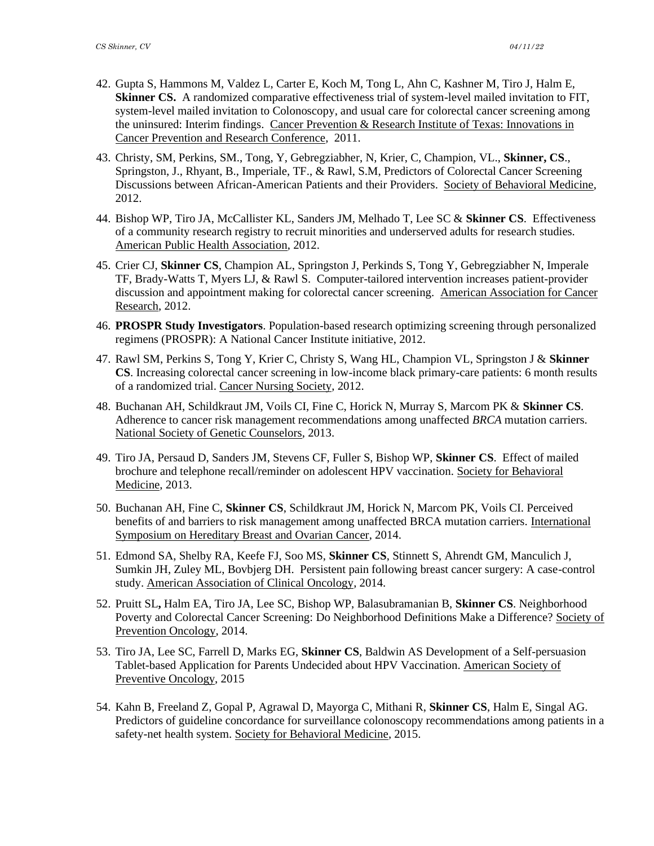- 42. Gupta S, Hammons M, Valdez L, Carter E, Koch M, Tong L, Ahn C, Kashner M, Tiro J, Halm E, **Skinner CS.** A randomized comparative effectiveness trial of system-level mailed invitation to FIT, system-level mailed invitation to Colonoscopy, and usual care for colorectal cancer screening among the uninsured: Interim findings. Cancer Prevention & Research Institute of Texas: Innovations in Cancer Prevention and Research Conference, 2011.
- 43. Christy, SM, Perkins, SM., Tong, Y, Gebregziabher, N, Krier, C, Champion, VL., **Skinner, CS**., Springston, J., Rhyant, B., Imperiale, TF., & Rawl, S.M, Predictors of Colorectal Cancer Screening Discussions between African-American Patients and their Providers. Society of Behavioral Medicine, 2012.
- 44. Bishop WP, Tiro JA, McCallister KL, Sanders JM, Melhado T, Lee SC & **Skinner CS**. Effectiveness of a community research registry to recruit minorities and underserved adults for research studies. American Public Health Association, 2012.
- 45. Crier CJ, **Skinner CS**, Champion AL, Springston J, Perkinds S, Tong Y, Gebregziabher N, Imperale TF, Brady-Watts T, Myers LJ, & Rawl S. Computer-tailored intervention increases patient-provider discussion and appointment making for colorectal cancer screening. American Association for Cancer Research, 2012.
- 46. **PROSPR Study Investigators**. Population-based research optimizing screening through personalized regimens (PROSPR): A National Cancer Institute initiative, 2012.
- 47. Rawl SM, Perkins S, Tong Y, Krier C, Christy S, Wang HL, Champion VL, Springston J & **Skinner CS**. Increasing colorectal cancer screening in low-income black primary-care patients: 6 month results of a randomized trial. Cancer Nursing Society, 2012.
- 48. Buchanan AH, Schildkraut JM, Voils CI, Fine C, Horick N, Murray S, Marcom PK & **Skinner CS**. Adherence to cancer risk management recommendations among unaffected *BRCA* mutation carriers. National Society of Genetic Counselors, 2013.
- 49. Tiro JA, Persaud D, Sanders JM, Stevens CF, Fuller S, Bishop WP, **Skinner CS**. Effect of mailed brochure and telephone recall/reminder on adolescent HPV vaccination. Society for Behavioral Medicine, 2013.
- 50. Buchanan AH, Fine C, **Skinner CS**, Schildkraut JM, Horick N, Marcom PK, Voils CI. Perceived benefits of and barriers to risk management among unaffected BRCA mutation carriers. International Symposium on Hereditary Breast and Ovarian Cancer, 2014.
- 51. Edmond SA, Shelby RA, Keefe FJ, Soo MS, **Skinner CS**, Stinnett S, Ahrendt GM, Manculich J, Sumkin JH, Zuley ML, Bovbjerg DH. Persistent pain following breast cancer surgery: A case-control study. American Association of Clinical Oncology, 2014.
- 52. Pruitt SL**,** Halm EA, Tiro JA, Lee SC, Bishop WP, Balasubramanian B, **Skinner CS**. Neighborhood Poverty and Colorectal Cancer Screening: Do Neighborhood Definitions Make a Difference? Society of Prevention Oncology, 2014.
- 53. Tiro JA, Lee SC, Farrell D, Marks EG, **Skinner CS**, Baldwin AS Development of a Self-persuasion Tablet-based Application for Parents Undecided about HPV Vaccination. American Society of Preventive Oncology, 2015
- 54. Kahn B, Freeland Z, Gopal P, Agrawal D, Mayorga C, Mithani R, **Skinner CS**, Halm E, Singal AG. Predictors of guideline concordance for surveillance colonoscopy recommendations among patients in a safety-net health system. Society for Behavioral Medicine, 2015.